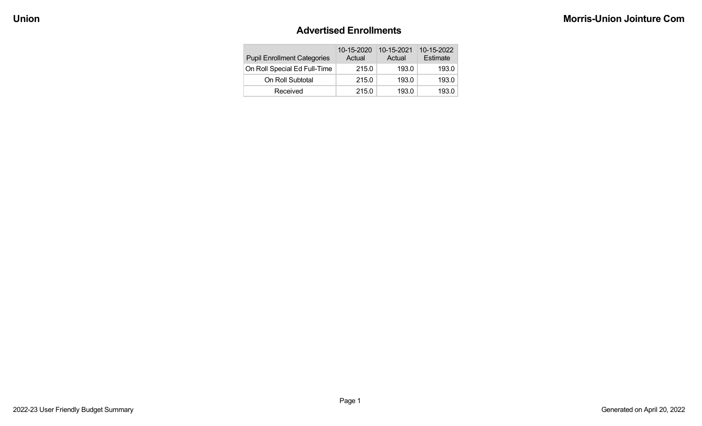#### **Advertised Enrollments**

| <b>Pupil Enrollment Categories</b> | 10-15-2020<br>Actual | 10-15-2021<br>Actual | 10-15-2022<br>Estimate |
|------------------------------------|----------------------|----------------------|------------------------|
| On Roll Special Ed Full-Time       | 215.0                | 193.0                | 193.0                  |
| On Roll Subtotal                   | 215.0                | 193.0                | 193.0                  |
| Received                           | 215.0                | 193.0                | 193.0                  |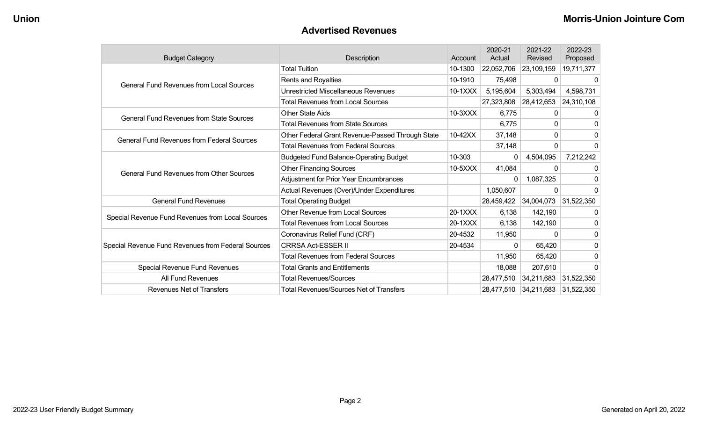#### **Advertised Revenues**

| <b>Budget Category</b>                             | <b>Description</b>                               | Account   | 2020-21<br>Actual | 2021-22<br>Revised | 2022-23<br>Proposed |
|----------------------------------------------------|--------------------------------------------------|-----------|-------------------|--------------------|---------------------|
|                                                    | <b>Total Tuition</b>                             | 10-1300   | 22,052,706        | 23,109,159         | 19,711,377          |
| <b>General Fund Revenues from Local Sources</b>    | Rents and Royalties                              | 10-1910   | 75,498            | 0                  | 0                   |
|                                                    | Unrestricted Miscellaneous Revenues              | $10-1XXX$ | 5,195,604         | 5,303,494          | 4,598,731           |
|                                                    | <b>Total Revenues from Local Sources</b>         |           | 27,323,808        | 28,412,653         | 24,310,108          |
| <b>General Fund Revenues from State Sources</b>    | <b>Other State Aids</b>                          | $10-3XXX$ | 6,775             | 0                  | 0                   |
|                                                    | <b>Total Revenues from State Sources</b>         |           | 6,775             | 0                  | 0                   |
| <b>General Fund Revenues from Federal Sources</b>  | Other Federal Grant Revenue-Passed Through State | 10-42XX   | 37,148            | 0                  | $\mathbf{0}$        |
|                                                    | <b>Total Revenues from Federal Sources</b>       |           | 37,148            | 0                  | 0                   |
|                                                    | <b>Budgeted Fund Balance-Operating Budget</b>    | 10-303    | 0                 | 4,504,095          | 7,212,242           |
| <b>General Fund Revenues from Other Sources</b>    | <b>Other Financing Sources</b>                   | 10-5XXX   | 41,084            | 0                  | $\Omega$            |
|                                                    | <b>Adjustment for Prior Year Encumbrances</b>    |           | 0                 | 1,087,325          | 0                   |
|                                                    | Actual Revenues (Over)/Under Expenditures        |           | 1,050,607         | 0                  | 0                   |
| <b>General Fund Revenues</b>                       | <b>Total Operating Budget</b>                    |           | 28,459,422        | 34,004,073         | 31,522,350          |
| Special Revenue Fund Revenues from Local Sources   | <b>Other Revenue from Local Sources</b>          | 20-1XXX   | 6,138             | 142,190            | 0                   |
|                                                    | <b>Total Revenues from Local Sources</b>         | 20-1XXX   | 6,138             | 142,190            | 0                   |
|                                                    | Coronavirus Relief Fund (CRF)                    | 20-4532   | 11,950            | $\Omega$           | 0                   |
| Special Revenue Fund Revenues from Federal Sources | <b>CRRSA Act-ESSER II</b>                        | 20-4534   | 0                 | 65,420             | 0                   |
|                                                    | <b>Total Revenues from Federal Sources</b>       |           | 11,950            | 65,420             | 0                   |
| Special Revenue Fund Revenues                      | <b>Total Grants and Entitlements</b>             |           | 18,088            | 207,610            | $\Omega$            |
| All Fund Revenues                                  | <b>Total Revenues/Sources</b>                    |           | 28,477,510        | 34,211,683         | 31,522,350          |
| <b>Revenues Net of Transfers</b>                   | <b>Total Revenues/Sources Net of Transfers</b>   |           | 28,477,510        | 34,211,683         | 31,522,350          |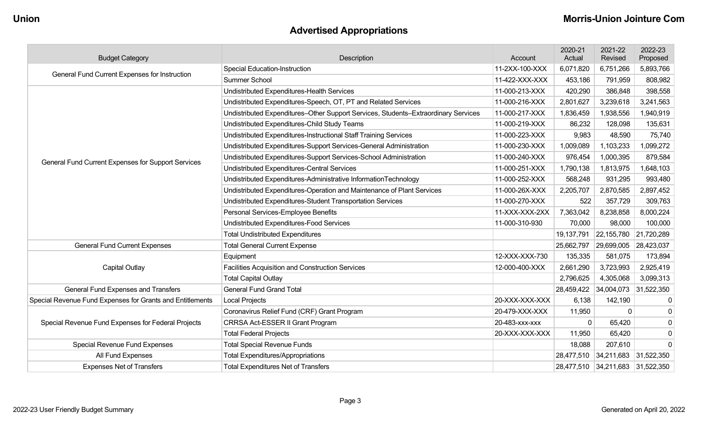# **Advertised Appropriations**

| <b>Budget Category</b>                                    | Description                                                                        | Account        | 2020-21<br>Actual | 2021-22<br>Revised               | 2022-23<br>Proposed |
|-----------------------------------------------------------|------------------------------------------------------------------------------------|----------------|-------------------|----------------------------------|---------------------|
| General Fund Current Expenses for Instruction             | <b>Special Education-Instruction</b>                                               | 11-2XX-100-XXX | 6,071,820         | 6,751,266                        | 5,893,766           |
|                                                           | Summer School                                                                      | 11-422-XXX-XXX | 453,186           | 791,959                          | 808,982             |
|                                                           | Undistributed Expenditures-Health Services                                         | 11-000-213-XXX | 420,290           | 386,848                          | 398,558             |
|                                                           | Undistributed Expenditures-Speech, OT, PT and Related Services                     | 11-000-216-XXX | 2,801,627         | 3,239,618                        | 3,241,563           |
|                                                           | Undistributed Expenditures-Other Support Services, Students-Extraordinary Services | 11-000-217-XXX | 1,836,459         | 1,938,556                        | 1,940,919           |
|                                                           | Undistributed Expenditures-Child Study Teams                                       | 11-000-219-XXX | 86,232            | 128,098                          | 135,631             |
|                                                           | Undistributed Expenditures-Instructional Staff Training Services                   | 11-000-223-XXX | 9,983             | 48,590                           | 75,740              |
|                                                           | Undistributed Expenditures-Support Services-General Administration                 | 11-000-230-XXX | 1,009,089         | 1,103,233                        | 1,099,272           |
| General Fund Current Expenses for Support Services        | Undistributed Expenditures-Support Services-School Administration                  | 11-000-240-XXX | 976,454           | 1,000,395                        | 879,584             |
|                                                           | Undistributed Expenditures-Central Services                                        | 11-000-251-XXX | 1,790,138         | 1,813,975                        | 1,648,103           |
|                                                           | Undistributed Expenditures-Administrative InformationTechnology                    | 11-000-252-XXX | 568,248           | 931,295                          | 993,480             |
|                                                           | Undistributed Expenditures-Operation and Maintenance of Plant Services             | 11-000-26X-XXX | 2,205,707         | 2,870,585                        | 2,897,452           |
|                                                           | Undistributed Expenditures-Student Transportation Services                         | 11-000-270-XXX | 522               | 357,729                          | 309,763             |
|                                                           | Personal Services-Employee Benefits                                                | 11-XXX-XXX-2XX | 7,363,042         | 8,238,858                        | 8,000,224           |
|                                                           | Undistributed Expenditures-Food Services                                           | 11-000-310-930 | 70,000            | 98,000                           | 100,000             |
|                                                           | <b>Total Undistributed Expenditures</b>                                            |                | 19,137,791        | 22,155,780 21,720,289            |                     |
| <b>General Fund Current Expenses</b>                      | <b>Total General Current Expense</b>                                               |                | 25,662,797        | 29,699,005                       | 28,423,037          |
|                                                           | Equipment                                                                          | 12-XXX-XXX-730 | 135,335           | 581,075                          | 173,894             |
| <b>Capital Outlay</b>                                     | <b>Facilities Acquisition and Construction Services</b>                            | 12-000-400-XXX | 2,661,290         | 3,723,993                        | 2,925,419           |
|                                                           | <b>Total Capital Outlay</b>                                                        |                | 2,796,625         | 4,305,068                        | 3,099,313           |
| General Fund Expenses and Transfers                       | <b>General Fund Grand Total</b>                                                    |                | 28,459,422        | 34,004,073 31,522,350            |                     |
| Special Revenue Fund Expenses for Grants and Entitlements | <b>Local Projects</b>                                                              | 20-XXX-XXX-XXX | 6,138             | 142,190                          | $\boldsymbol{0}$    |
|                                                           | Coronavirus Relief Fund (CRF) Grant Program                                        | 20-479-XXX-XXX | 11,950            | $\Omega$                         | $\mathbf 0$         |
| Special Revenue Fund Expenses for Federal Projects        | CRRSA Act-ESSER II Grant Program                                                   | 20-483-xxx-xxx | $\mathbf 0$       | 65,420                           | $\mathbf 0$         |
|                                                           | <b>Total Federal Projects</b>                                                      | 20-XXX-XXX-XXX | 11,950            | 65,420                           | $\mathbf 0$         |
| <b>Special Revenue Fund Expenses</b>                      | <b>Total Special Revenue Funds</b>                                                 |                | 18,088            | 207,610                          | $\mathbf 0$         |
| All Fund Expenses                                         | <b>Total Expenditures/Appropriations</b>                                           |                |                   | 28,477,510 34,211,683 31,522,350 |                     |
| <b>Expenses Net of Transfers</b>                          | <b>Total Expenditures Net of Transfers</b>                                         |                |                   | 28,477,510 34,211,683 31,522,350 |                     |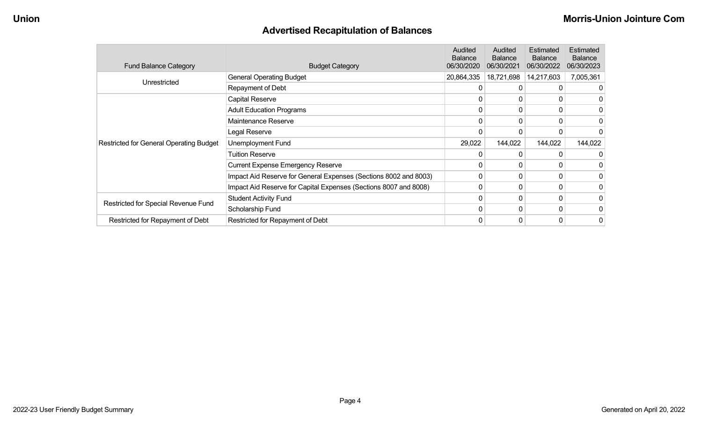# **Advertised Recapitulation of Balances**

| <b>Fund Balance Category</b>                   | <b>Budget Category</b>                                           | Audited<br><b>Balance</b><br>06/30/2020 | Audited<br><b>Balance</b><br>06/30/2021 | Estimated<br><b>Balance</b><br>06/30/2022 | Estimated<br><b>Balance</b><br>06/30/2023 |
|------------------------------------------------|------------------------------------------------------------------|-----------------------------------------|-----------------------------------------|-------------------------------------------|-------------------------------------------|
|                                                | <b>General Operating Budget</b>                                  | 20,864,335                              | 18,721,698                              | 14,217,603                                | 7,005,361                                 |
| Unrestricted                                   | Repayment of Debt                                                |                                         | 0                                       | 0                                         |                                           |
|                                                | Capital Reserve                                                  | 0                                       | 0                                       | 0                                         |                                           |
|                                                | <b>Adult Education Programs</b>                                  | 0                                       | 0                                       | 0                                         |                                           |
|                                                | Maintenance Reserve                                              | 0                                       | 0                                       |                                           |                                           |
|                                                | Legal Reserve                                                    | $\Omega$                                | 0                                       |                                           |                                           |
| <b>Restricted for General Operating Budget</b> | <b>Unemployment Fund</b>                                         | 29,022                                  | 144,022                                 | 144,022                                   | 144,022                                   |
|                                                | <b>Tuition Reserve</b>                                           | 0                                       | 0                                       |                                           |                                           |
|                                                | <b>Current Expense Emergency Reserve</b>                         | $\mathbf 0$                             | $\Omega$                                | 0                                         |                                           |
|                                                | Impact Aid Reserve for General Expenses (Sections 8002 and 8003) | 0                                       | $\mathbf{0}$                            | 0                                         |                                           |
|                                                | Impact Aid Reserve for Capital Expenses (Sections 8007 and 8008) | $\mathbf 0$                             | 0                                       | 0                                         |                                           |
|                                                | <b>Student Activity Fund</b>                                     | 0                                       | $\mathbf{0}$                            | 0                                         |                                           |
| Restricted for Special Revenue Fund            | Scholarship Fund                                                 | $\Omega$                                | 0                                       | 0                                         |                                           |
| Restricted for Repayment of Debt               | Restricted for Repayment of Debt                                 | 0                                       | 0                                       | 0                                         | 0                                         |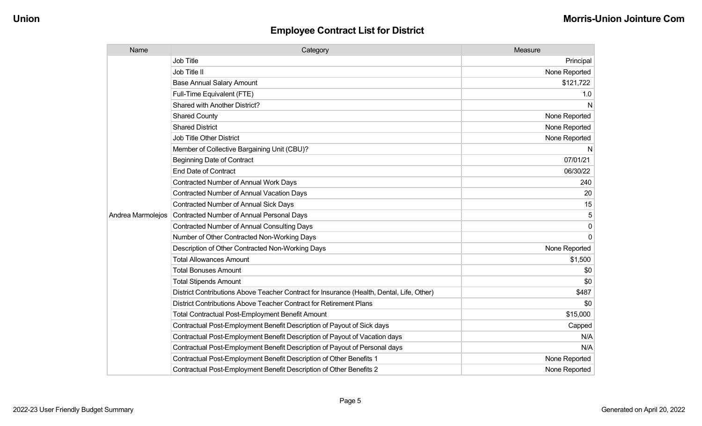| Name              | Category                                                                                  | Measure       |
|-------------------|-------------------------------------------------------------------------------------------|---------------|
|                   | <b>Job Title</b>                                                                          | Principal     |
|                   | Job Title II                                                                              | None Reported |
|                   | <b>Base Annual Salary Amount</b>                                                          | \$121,722     |
|                   | Full-Time Equivalent (FTE)                                                                | 1.0           |
|                   | <b>Shared with Another District?</b>                                                      | N             |
|                   | <b>Shared County</b>                                                                      | None Reported |
|                   | <b>Shared District</b>                                                                    | None Reported |
|                   | <b>Job Title Other District</b>                                                           | None Reported |
|                   | Member of Collective Bargaining Unit (CBU)?                                               | N.            |
|                   | <b>Beginning Date of Contract</b>                                                         | 07/01/21      |
|                   | <b>End Date of Contract</b>                                                               | 06/30/22      |
|                   | Contracted Number of Annual Work Days                                                     | 240           |
|                   | <b>Contracted Number of Annual Vacation Days</b>                                          | 20            |
|                   | <b>Contracted Number of Annual Sick Days</b>                                              | 15            |
| Andrea Marmolejos | Contracted Number of Annual Personal Days                                                 |               |
|                   | <b>Contracted Number of Annual Consulting Days</b>                                        | $\Omega$      |
|                   | Number of Other Contracted Non-Working Days                                               | $\Omega$      |
|                   | Description of Other Contracted Non-Working Days                                          | None Reported |
|                   | <b>Total Allowances Amount</b>                                                            | \$1,500       |
|                   | <b>Total Bonuses Amount</b>                                                               | \$0           |
|                   | <b>Total Stipends Amount</b>                                                              | \$0           |
|                   | District Contributions Above Teacher Contract for Insurance (Health, Dental, Life, Other) | \$487         |
|                   | District Contributions Above Teacher Contract for Retirement Plans                        | \$0           |
|                   | Total Contractual Post-Employment Benefit Amount                                          | \$15,000      |
|                   | Contractual Post-Employment Benefit Description of Payout of Sick days                    | Capped        |
|                   | Contractual Post-Employment Benefit Description of Payout of Vacation days                | N/A           |
|                   | Contractual Post-Employment Benefit Description of Payout of Personal days                | N/A           |
|                   | Contractual Post-Employment Benefit Description of Other Benefits 1                       | None Reported |
|                   | Contractual Post-Employment Benefit Description of Other Benefits 2                       | None Reported |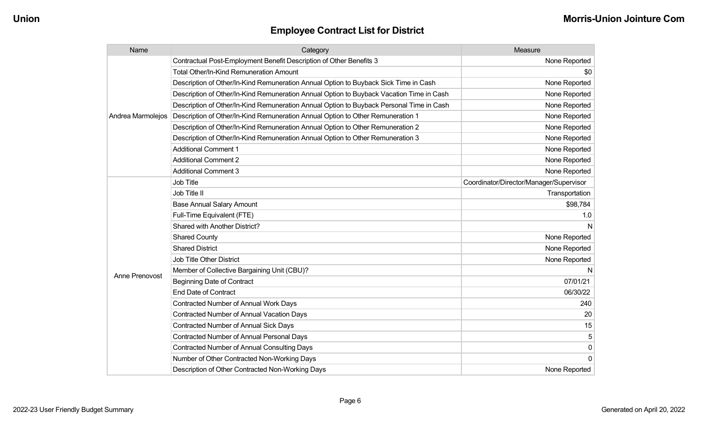| Name              | Category                                                                                 | Measure                                 |
|-------------------|------------------------------------------------------------------------------------------|-----------------------------------------|
|                   | Contractual Post-Employment Benefit Description of Other Benefits 3                      | None Reported                           |
|                   | Total Other/In-Kind Remuneration Amount                                                  | \$0                                     |
|                   | Description of Other/In-Kind Remuneration Annual Option to Buyback Sick Time in Cash     | None Reported                           |
|                   | Description of Other/In-Kind Remuneration Annual Option to Buyback Vacation Time in Cash | None Reported                           |
|                   | Description of Other/In-Kind Remuneration Annual Option to Buyback Personal Time in Cash | None Reported                           |
| Andrea Marmolejos | Description of Other/In-Kind Remuneration Annual Option to Other Remuneration 1          | None Reported                           |
|                   | Description of Other/In-Kind Remuneration Annual Option to Other Remuneration 2          | None Reported                           |
|                   | Description of Other/In-Kind Remuneration Annual Option to Other Remuneration 3          | None Reported                           |
|                   | <b>Additional Comment 1</b>                                                              | None Reported                           |
|                   | <b>Additional Comment 2</b>                                                              | None Reported                           |
|                   | <b>Additional Comment 3</b>                                                              | None Reported                           |
|                   | Job Title                                                                                | Coordinator/Director/Manager/Supervisor |
|                   | Job Title II                                                                             | Transportation                          |
|                   | <b>Base Annual Salary Amount</b>                                                         | \$98,784                                |
|                   | Full-Time Equivalent (FTE)                                                               | 1.0                                     |
|                   | Shared with Another District?                                                            | N                                       |
|                   | <b>Shared County</b>                                                                     | None Reported                           |
|                   | <b>Shared District</b>                                                                   | None Reported                           |
|                   | <b>Job Title Other District</b>                                                          | None Reported                           |
|                   | Member of Collective Bargaining Unit (CBU)?                                              | N                                       |
| Anne Prenovost    | <b>Beginning Date of Contract</b>                                                        | 07/01/21                                |
|                   | <b>End Date of Contract</b>                                                              | 06/30/22                                |
|                   | Contracted Number of Annual Work Days                                                    | 240                                     |
|                   | Contracted Number of Annual Vacation Days                                                | 20                                      |
|                   | Contracted Number of Annual Sick Days                                                    | 15                                      |
|                   | Contracted Number of Annual Personal Days                                                | 5                                       |
|                   | <b>Contracted Number of Annual Consulting Days</b>                                       | 0                                       |
|                   | Number of Other Contracted Non-Working Days                                              | $\Omega$                                |
|                   | Description of Other Contracted Non-Working Days                                         | None Reported                           |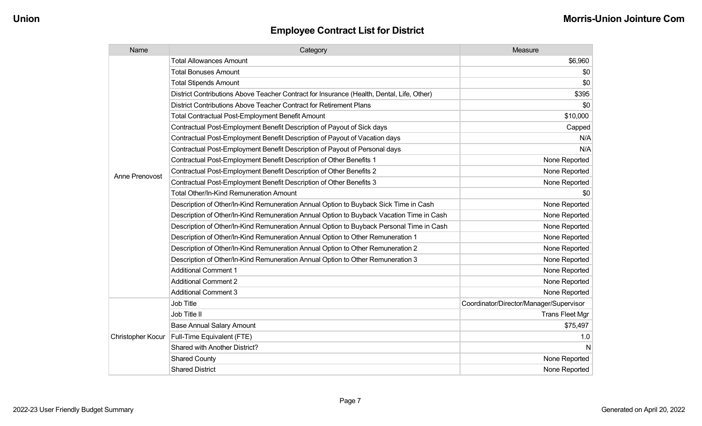| Name              | Category                                                                                  | Measure                                 |
|-------------------|-------------------------------------------------------------------------------------------|-----------------------------------------|
|                   | <b>Total Allowances Amount</b>                                                            | \$6,960                                 |
|                   | <b>Total Bonuses Amount</b>                                                               | \$0                                     |
|                   | <b>Total Stipends Amount</b>                                                              | \$0                                     |
|                   | District Contributions Above Teacher Contract for Insurance (Health, Dental, Life, Other) | \$395                                   |
|                   | District Contributions Above Teacher Contract for Retirement Plans                        | \$0                                     |
|                   | Total Contractual Post-Employment Benefit Amount                                          | \$10,000                                |
|                   | Contractual Post-Employment Benefit Description of Payout of Sick days                    | Capped                                  |
|                   | Contractual Post-Employment Benefit Description of Payout of Vacation days                | N/A                                     |
|                   | Contractual Post-Employment Benefit Description of Payout of Personal days                | N/A                                     |
|                   | Contractual Post-Employment Benefit Description of Other Benefits 1                       | None Reported                           |
| Anne Prenovost    | Contractual Post-Employment Benefit Description of Other Benefits 2                       | None Reported                           |
|                   | Contractual Post-Employment Benefit Description of Other Benefits 3                       | None Reported                           |
|                   | <b>Total Other/In-Kind Remuneration Amount</b>                                            | \$0                                     |
|                   | Description of Other/In-Kind Remuneration Annual Option to Buyback Sick Time in Cash      | None Reported                           |
|                   | Description of Other/In-Kind Remuneration Annual Option to Buyback Vacation Time in Cash  | None Reported                           |
|                   | Description of Other/In-Kind Remuneration Annual Option to Buyback Personal Time in Cash  | None Reported                           |
|                   | Description of Other/In-Kind Remuneration Annual Option to Other Remuneration 1           | None Reported                           |
|                   | Description of Other/In-Kind Remuneration Annual Option to Other Remuneration 2           | None Reported                           |
|                   | Description of Other/In-Kind Remuneration Annual Option to Other Remuneration 3           | None Reported                           |
|                   | <b>Additional Comment 1</b>                                                               | None Reported                           |
|                   | <b>Additional Comment 2</b>                                                               | None Reported                           |
|                   | <b>Additional Comment 3</b>                                                               | None Reported                           |
|                   | Job Title                                                                                 | Coordinator/Director/Manager/Supervisor |
|                   | Job Title II                                                                              | <b>Trans Fleet Mgr</b>                  |
|                   | <b>Base Annual Salary Amount</b>                                                          | \$75,497                                |
| Christopher Kocur | Full-Time Equivalent (FTE)                                                                | 1.0                                     |
|                   | Shared with Another District?                                                             | N                                       |
|                   | <b>Shared County</b>                                                                      | None Reported                           |
|                   | <b>Shared District</b>                                                                    | None Reported                           |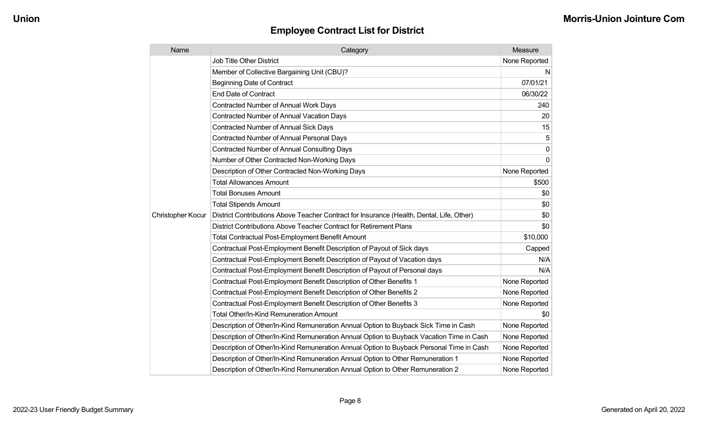| Name              | Category                                                                                  | Measure       |
|-------------------|-------------------------------------------------------------------------------------------|---------------|
|                   | Job Title Other District                                                                  | None Reported |
|                   | Member of Collective Bargaining Unit (CBU)?                                               | N             |
|                   | <b>Beginning Date of Contract</b>                                                         | 07/01/21      |
|                   | <b>End Date of Contract</b>                                                               | 06/30/22      |
|                   | Contracted Number of Annual Work Days                                                     | 240           |
|                   | <b>Contracted Number of Annual Vacation Days</b>                                          | 20            |
|                   | <b>Contracted Number of Annual Sick Days</b>                                              | 15            |
|                   | <b>Contracted Number of Annual Personal Days</b>                                          | 5             |
|                   | <b>Contracted Number of Annual Consulting Days</b>                                        | 0             |
|                   | Number of Other Contracted Non-Working Days                                               | $\Omega$      |
|                   | Description of Other Contracted Non-Working Days                                          | None Reported |
|                   | <b>Total Allowances Amount</b>                                                            | \$500         |
|                   | <b>Total Bonuses Amount</b>                                                               | \$0           |
|                   | <b>Total Stipends Amount</b>                                                              | \$0           |
| Christopher Kocur | District Contributions Above Teacher Contract for Insurance (Health, Dental, Life, Other) | \$0           |
|                   | District Contributions Above Teacher Contract for Retirement Plans                        | \$0           |
|                   | <b>Total Contractual Post-Employment Benefit Amount</b>                                   | \$10,000      |
|                   | Contractual Post-Employment Benefit Description of Payout of Sick days                    | Capped        |
|                   | Contractual Post-Employment Benefit Description of Payout of Vacation days                | N/A           |
|                   | Contractual Post-Employment Benefit Description of Payout of Personal days                | N/A           |
|                   | Contractual Post-Employment Benefit Description of Other Benefits 1                       | None Reported |
|                   | Contractual Post-Employment Benefit Description of Other Benefits 2                       | None Reported |
|                   | Contractual Post-Employment Benefit Description of Other Benefits 3                       | None Reported |
|                   | <b>Total Other/In-Kind Remuneration Amount</b>                                            | \$0           |
|                   | Description of Other/In-Kind Remuneration Annual Option to Buyback Sick Time in Cash      | None Reported |
|                   | Description of Other/In-Kind Remuneration Annual Option to Buyback Vacation Time in Cash  | None Reported |
|                   | Description of Other/In-Kind Remuneration Annual Option to Buyback Personal Time in Cash  | None Reported |
|                   | Description of Other/In-Kind Remuneration Annual Option to Other Remuneration 1           | None Reported |
|                   | Description of Other/In-Kind Remuneration Annual Option to Other Remuneration 2           | None Reported |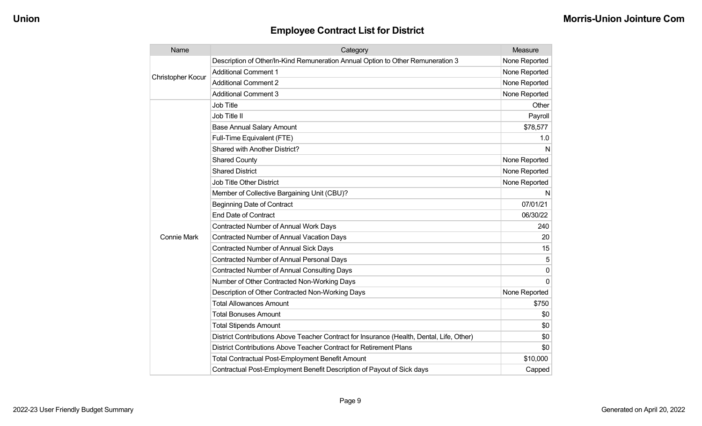| Name                     | Category                                                                                  | Measure       |
|--------------------------|-------------------------------------------------------------------------------------------|---------------|
|                          | Description of Other/In-Kind Remuneration Annual Option to Other Remuneration 3           | None Reported |
| <b>Christopher Kocur</b> | <b>Additional Comment 1</b>                                                               | None Reported |
|                          | <b>Additional Comment 2</b>                                                               | None Reported |
|                          | <b>Additional Comment 3</b>                                                               | None Reported |
|                          | Job Title                                                                                 | Other         |
|                          | Job Title II                                                                              | Payroll       |
|                          | <b>Base Annual Salary Amount</b>                                                          | \$78,577      |
|                          | Full-Time Equivalent (FTE)                                                                | 1.0           |
|                          | Shared with Another District?                                                             | N             |
|                          | <b>Shared County</b>                                                                      | None Reported |
|                          | <b>Shared District</b>                                                                    | None Reported |
|                          | <b>Job Title Other District</b>                                                           | None Reported |
|                          | Member of Collective Bargaining Unit (CBU)?                                               | N             |
|                          | <b>Beginning Date of Contract</b>                                                         | 07/01/21      |
|                          | <b>End Date of Contract</b>                                                               | 06/30/22      |
|                          | <b>Contracted Number of Annual Work Days</b>                                              | 240           |
| Connie Mark              | <b>Contracted Number of Annual Vacation Days</b>                                          | 20            |
|                          | Contracted Number of Annual Sick Days                                                     | 15            |
|                          | Contracted Number of Annual Personal Days                                                 | 5             |
|                          | <b>Contracted Number of Annual Consulting Days</b>                                        | 0             |
|                          | Number of Other Contracted Non-Working Days                                               | $\Omega$      |
|                          | Description of Other Contracted Non-Working Days                                          | None Reported |
|                          | <b>Total Allowances Amount</b>                                                            | \$750         |
|                          | <b>Total Bonuses Amount</b>                                                               | \$0           |
|                          | <b>Total Stipends Amount</b>                                                              | \$0           |
|                          | District Contributions Above Teacher Contract for Insurance (Health, Dental, Life, Other) | \$0           |
|                          | District Contributions Above Teacher Contract for Retirement Plans                        | \$0           |
|                          | <b>Total Contractual Post-Employment Benefit Amount</b>                                   | \$10,000      |
|                          | Contractual Post-Employment Benefit Description of Payout of Sick days                    | Capped        |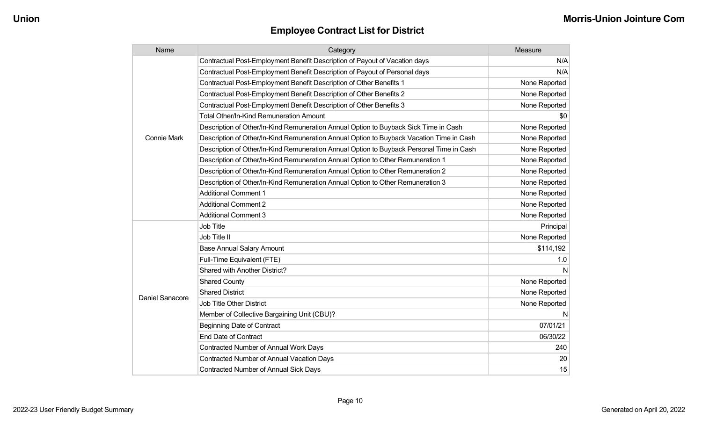| Name               | Category                                                                                 | Measure       |
|--------------------|------------------------------------------------------------------------------------------|---------------|
|                    | Contractual Post-Employment Benefit Description of Payout of Vacation days               | N/A           |
|                    | Contractual Post-Employment Benefit Description of Payout of Personal days               | N/A           |
|                    | Contractual Post-Employment Benefit Description of Other Benefits 1                      | None Reported |
|                    | Contractual Post-Employment Benefit Description of Other Benefits 2                      | None Reported |
|                    | Contractual Post-Employment Benefit Description of Other Benefits 3                      | None Reported |
|                    | Total Other/In-Kind Remuneration Amount                                                  | \$0           |
|                    | Description of Other/In-Kind Remuneration Annual Option to Buyback Sick Time in Cash     | None Reported |
| <b>Connie Mark</b> | Description of Other/In-Kind Remuneration Annual Option to Buyback Vacation Time in Cash | None Reported |
|                    | Description of Other/In-Kind Remuneration Annual Option to Buyback Personal Time in Cash | None Reported |
|                    | Description of Other/In-Kind Remuneration Annual Option to Other Remuneration 1          | None Reported |
|                    | Description of Other/In-Kind Remuneration Annual Option to Other Remuneration 2          | None Reported |
|                    | Description of Other/In-Kind Remuneration Annual Option to Other Remuneration 3          | None Reported |
|                    | <b>Additional Comment 1</b>                                                              | None Reported |
|                    | <b>Additional Comment 2</b>                                                              | None Reported |
|                    | <b>Additional Comment 3</b>                                                              | None Reported |
|                    | <b>Job Title</b>                                                                         | Principal     |
|                    | Job Title II                                                                             | None Reported |
|                    | <b>Base Annual Salary Amount</b>                                                         | \$114,192     |
|                    | Full-Time Equivalent (FTE)                                                               | 1.0           |
|                    | Shared with Another District?                                                            | N             |
|                    | <b>Shared County</b>                                                                     | None Reported |
| Daniel Sanacore    | <b>Shared District</b>                                                                   | None Reported |
|                    | <b>Job Title Other District</b>                                                          | None Reported |
|                    | Member of Collective Bargaining Unit (CBU)?                                              | N             |
|                    | <b>Beginning Date of Contract</b>                                                        | 07/01/21      |
|                    | <b>End Date of Contract</b>                                                              | 06/30/22      |
|                    | Contracted Number of Annual Work Days                                                    | 240           |
|                    | Contracted Number of Annual Vacation Days                                                | 20            |
|                    | <b>Contracted Number of Annual Sick Days</b>                                             | 15            |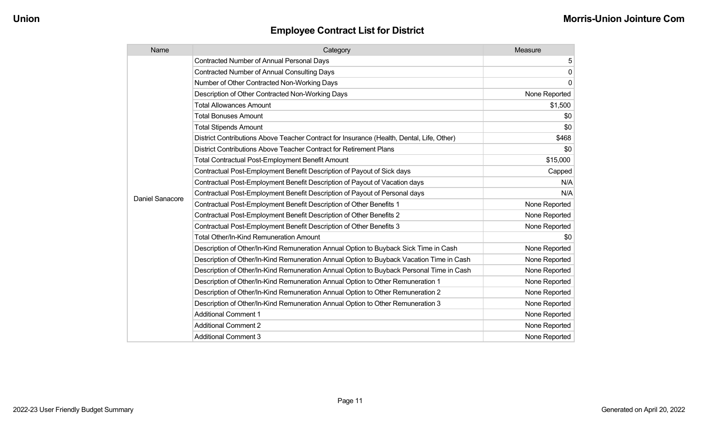| Name            | Category                                                                                  | Measure       |
|-----------------|-------------------------------------------------------------------------------------------|---------------|
|                 | <b>Contracted Number of Annual Personal Days</b>                                          | 5             |
|                 | <b>Contracted Number of Annual Consulting Days</b>                                        | 0             |
|                 | Number of Other Contracted Non-Working Days                                               | $\mathbf{0}$  |
|                 | Description of Other Contracted Non-Working Days                                          | None Reported |
|                 | <b>Total Allowances Amount</b>                                                            | \$1,500       |
|                 | <b>Total Bonuses Amount</b>                                                               | \$0           |
|                 | <b>Total Stipends Amount</b>                                                              | \$0           |
|                 | District Contributions Above Teacher Contract for Insurance (Health, Dental, Life, Other) | \$468         |
|                 | District Contributions Above Teacher Contract for Retirement Plans                        | \$0           |
|                 | <b>Total Contractual Post-Employment Benefit Amount</b>                                   | \$15,000      |
|                 | Contractual Post-Employment Benefit Description of Payout of Sick days                    | Capped        |
|                 | Contractual Post-Employment Benefit Description of Payout of Vacation days                | N/A           |
| Daniel Sanacore | Contractual Post-Employment Benefit Description of Payout of Personal days                | N/A           |
|                 | Contractual Post-Employment Benefit Description of Other Benefits 1                       | None Reported |
|                 | Contractual Post-Employment Benefit Description of Other Benefits 2                       | None Reported |
|                 | Contractual Post-Employment Benefit Description of Other Benefits 3                       | None Reported |
|                 | Total Other/In-Kind Remuneration Amount                                                   | \$0           |
|                 | Description of Other/In-Kind Remuneration Annual Option to Buyback Sick Time in Cash      | None Reported |
|                 | Description of Other/In-Kind Remuneration Annual Option to Buyback Vacation Time in Cash  | None Reported |
|                 | Description of Other/In-Kind Remuneration Annual Option to Buyback Personal Time in Cash  | None Reported |
|                 | Description of Other/In-Kind Remuneration Annual Option to Other Remuneration 1           | None Reported |
|                 | Description of Other/In-Kind Remuneration Annual Option to Other Remuneration 2           | None Reported |
|                 | Description of Other/In-Kind Remuneration Annual Option to Other Remuneration 3           | None Reported |
|                 | <b>Additional Comment 1</b>                                                               | None Reported |
|                 | <b>Additional Comment 2</b>                                                               | None Reported |
|                 | <b>Additional Comment 3</b>                                                               | None Reported |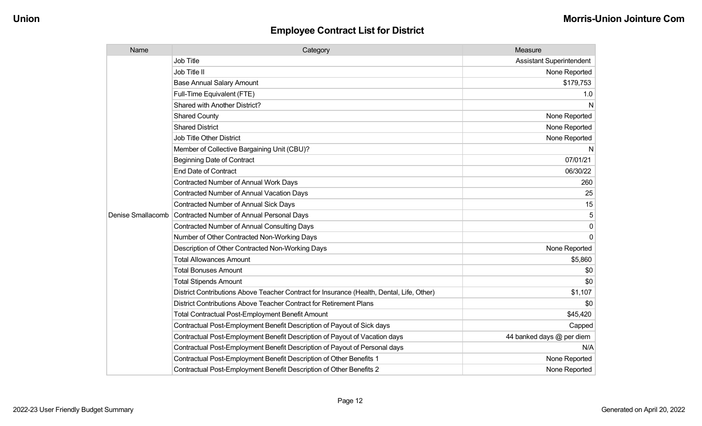| Name              | Category                                                                                  | Measure                         |
|-------------------|-------------------------------------------------------------------------------------------|---------------------------------|
|                   | <b>Job Title</b>                                                                          | <b>Assistant Superintendent</b> |
|                   | Job Title II                                                                              | None Reported                   |
|                   | <b>Base Annual Salary Amount</b>                                                          | \$179,753                       |
|                   | Full-Time Equivalent (FTE)                                                                | 1.0                             |
|                   | <b>Shared with Another District?</b>                                                      | N                               |
|                   | <b>Shared County</b>                                                                      | None Reported                   |
|                   | <b>Shared District</b>                                                                    | None Reported                   |
|                   | <b>Job Title Other District</b>                                                           | None Reported                   |
|                   | Member of Collective Bargaining Unit (CBU)?                                               | N                               |
|                   | <b>Beginning Date of Contract</b>                                                         | 07/01/21                        |
|                   | <b>End Date of Contract</b>                                                               | 06/30/22                        |
|                   | <b>Contracted Number of Annual Work Days</b>                                              | 260                             |
|                   | <b>Contracted Number of Annual Vacation Days</b>                                          | 25                              |
|                   | Contracted Number of Annual Sick Days                                                     | 15                              |
| Denise Smallacomb | Contracted Number of Annual Personal Days                                                 |                                 |
|                   | <b>Contracted Number of Annual Consulting Days</b>                                        | $\Omega$                        |
|                   | Number of Other Contracted Non-Working Days                                               | $\Omega$                        |
|                   | Description of Other Contracted Non-Working Days                                          | None Reported                   |
|                   | <b>Total Allowances Amount</b>                                                            | \$5,860                         |
|                   | <b>Total Bonuses Amount</b>                                                               | \$0                             |
|                   | <b>Total Stipends Amount</b>                                                              | \$0                             |
|                   | District Contributions Above Teacher Contract for Insurance (Health, Dental, Life, Other) | \$1,107                         |
|                   | District Contributions Above Teacher Contract for Retirement Plans                        | \$0                             |
|                   | <b>Total Contractual Post-Employment Benefit Amount</b>                                   | \$45,420                        |
|                   | Contractual Post-Employment Benefit Description of Payout of Sick days                    | Capped                          |
|                   | Contractual Post-Employment Benefit Description of Payout of Vacation days                | 44 banked days @ per diem       |
|                   | Contractual Post-Employment Benefit Description of Payout of Personal days                | N/A                             |
|                   | Contractual Post-Employment Benefit Description of Other Benefits 1                       | None Reported                   |
|                   | Contractual Post-Employment Benefit Description of Other Benefits 2                       | None Reported                   |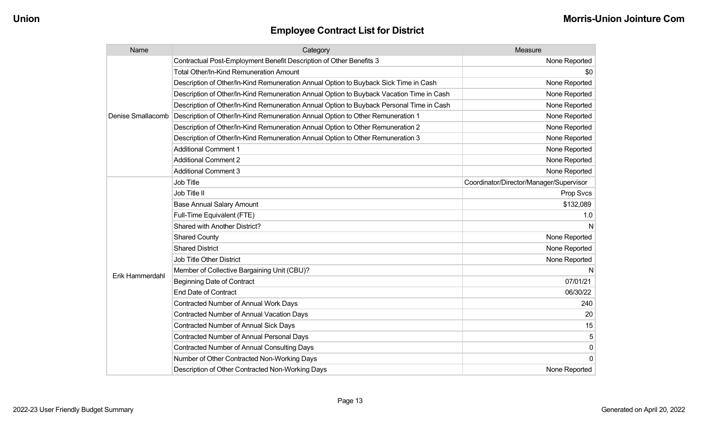| Name              | Category                                                                                 | Measure                                 |
|-------------------|------------------------------------------------------------------------------------------|-----------------------------------------|
|                   | Contractual Post-Employment Benefit Description of Other Benefits 3                      | None Reported                           |
|                   | <b>Total Other/In-Kind Remuneration Amount</b>                                           | \$0                                     |
|                   | Description of Other/In-Kind Remuneration Annual Option to Buyback Sick Time in Cash     | None Reported                           |
|                   | Description of Other/In-Kind Remuneration Annual Option to Buyback Vacation Time in Cash | None Reported                           |
|                   | Description of Other/In-Kind Remuneration Annual Option to Buyback Personal Time in Cash | None Reported                           |
| Denise Smallacomb | Description of Other/In-Kind Remuneration Annual Option to Other Remuneration 1          | None Reported                           |
|                   | Description of Other/In-Kind Remuneration Annual Option to Other Remuneration 2          | None Reported                           |
|                   | Description of Other/In-Kind Remuneration Annual Option to Other Remuneration 3          | None Reported                           |
|                   | <b>Additional Comment 1</b>                                                              | None Reported                           |
|                   | <b>Additional Comment 2</b>                                                              | None Reported                           |
|                   | <b>Additional Comment 3</b>                                                              | None Reported                           |
|                   | Job Title                                                                                | Coordinator/Director/Manager/Supervisor |
|                   | Job Title II                                                                             | Prop Svcs                               |
|                   | <b>Base Annual Salary Amount</b>                                                         | \$132,089                               |
|                   | Full-Time Equivalent (FTE)                                                               | 1.0                                     |
|                   | Shared with Another District?                                                            | N                                       |
|                   | <b>Shared County</b>                                                                     | None Reported                           |
|                   | <b>Shared District</b>                                                                   | None Reported                           |
|                   | <b>Job Title Other District</b>                                                          | None Reported                           |
| Erik Hammerdahl   | Member of Collective Bargaining Unit (CBU)?                                              | N                                       |
|                   | <b>Beginning Date of Contract</b>                                                        | 07/01/21                                |
|                   | <b>End Date of Contract</b>                                                              | 06/30/22                                |
|                   | Contracted Number of Annual Work Days                                                    | 240                                     |
|                   | <b>Contracted Number of Annual Vacation Days</b>                                         | 20                                      |
|                   | Contracted Number of Annual Sick Days                                                    | 15                                      |
|                   | Contracted Number of Annual Personal Days                                                | 5                                       |
|                   | <b>Contracted Number of Annual Consulting Days</b>                                       | 0                                       |
|                   | Number of Other Contracted Non-Working Days                                              | $\overline{0}$                          |
|                   | Description of Other Contracted Non-Working Days                                         | None Reported                           |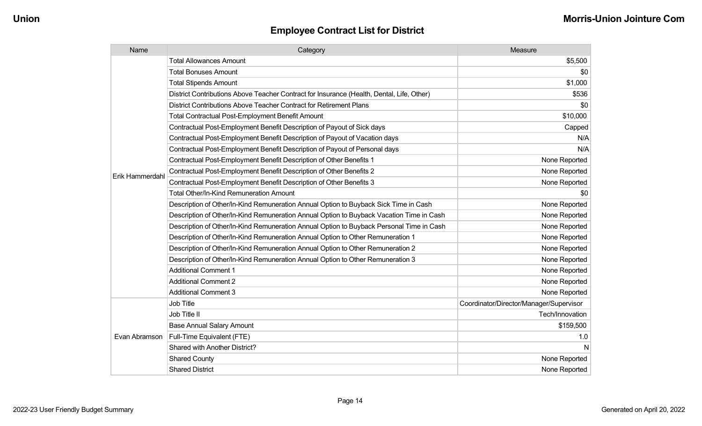| Name            | Category                                                                                  | Measure                                 |
|-----------------|-------------------------------------------------------------------------------------------|-----------------------------------------|
|                 | <b>Total Allowances Amount</b>                                                            | \$5,500                                 |
|                 | <b>Total Bonuses Amount</b>                                                               | \$0                                     |
|                 | <b>Total Stipends Amount</b>                                                              | \$1,000                                 |
|                 | District Contributions Above Teacher Contract for Insurance (Health, Dental, Life, Other) | \$536                                   |
|                 | District Contributions Above Teacher Contract for Retirement Plans                        | \$0                                     |
|                 | Total Contractual Post-Employment Benefit Amount                                          | \$10,000                                |
|                 | Contractual Post-Employment Benefit Description of Payout of Sick days                    | Capped                                  |
|                 | Contractual Post-Employment Benefit Description of Payout of Vacation days                | N/A                                     |
|                 | Contractual Post-Employment Benefit Description of Payout of Personal days                | N/A                                     |
|                 | Contractual Post-Employment Benefit Description of Other Benefits 1                       | None Reported                           |
| Erik Hammerdahl | Contractual Post-Employment Benefit Description of Other Benefits 2                       | None Reported                           |
|                 | Contractual Post-Employment Benefit Description of Other Benefits 3                       | None Reported                           |
|                 | Total Other/In-Kind Remuneration Amount                                                   | \$0                                     |
|                 | Description of Other/In-Kind Remuneration Annual Option to Buyback Sick Time in Cash      | None Reported                           |
|                 | Description of Other/In-Kind Remuneration Annual Option to Buyback Vacation Time in Cash  | None Reported                           |
|                 | Description of Other/In-Kind Remuneration Annual Option to Buyback Personal Time in Cash  | None Reported                           |
|                 | Description of Other/In-Kind Remuneration Annual Option to Other Remuneration 1           | None Reported                           |
|                 | Description of Other/In-Kind Remuneration Annual Option to Other Remuneration 2           | None Reported                           |
|                 | Description of Other/In-Kind Remuneration Annual Option to Other Remuneration 3           | None Reported                           |
|                 | <b>Additional Comment 1</b>                                                               | None Reported                           |
|                 | <b>Additional Comment 2</b>                                                               | None Reported                           |
|                 | <b>Additional Comment 3</b>                                                               | None Reported                           |
|                 | Job Title                                                                                 | Coordinator/Director/Manager/Supervisor |
|                 | Job Title II                                                                              | Tech/Innovation                         |
| Evan Abramson   | <b>Base Annual Salary Amount</b>                                                          | \$159,500                               |
|                 | Full-Time Equivalent (FTE)                                                                | 1.0                                     |
|                 | Shared with Another District?                                                             | N                                       |
|                 | <b>Shared County</b>                                                                      | None Reported                           |
|                 | <b>Shared District</b>                                                                    | None Reported                           |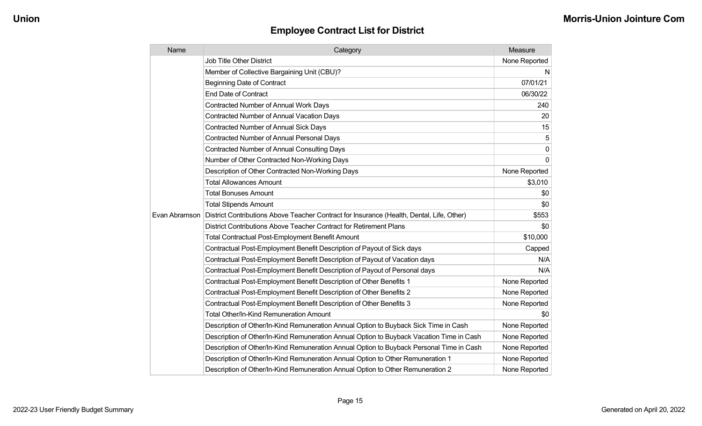| Name          | Category                                                                                  | Measure       |
|---------------|-------------------------------------------------------------------------------------------|---------------|
|               | <b>Job Title Other District</b>                                                           | None Reported |
|               | Member of Collective Bargaining Unit (CBU)?                                               | N             |
|               | <b>Beginning Date of Contract</b>                                                         | 07/01/21      |
|               | <b>End Date of Contract</b>                                                               | 06/30/22      |
|               | Contracted Number of Annual Work Days                                                     | 240           |
|               | <b>Contracted Number of Annual Vacation Days</b>                                          | 20            |
|               | <b>Contracted Number of Annual Sick Days</b>                                              | 15            |
|               | Contracted Number of Annual Personal Days                                                 | 5             |
|               | <b>Contracted Number of Annual Consulting Days</b>                                        | $\mathbf 0$   |
|               | Number of Other Contracted Non-Working Days                                               | $\Omega$      |
|               | Description of Other Contracted Non-Working Days                                          | None Reported |
|               | <b>Total Allowances Amount</b>                                                            | \$3,010       |
|               | <b>Total Bonuses Amount</b>                                                               | \$0           |
|               | <b>Total Stipends Amount</b>                                                              | \$0           |
| Evan Abramson | District Contributions Above Teacher Contract for Insurance (Health, Dental, Life, Other) | \$553         |
|               | District Contributions Above Teacher Contract for Retirement Plans                        | \$0           |
|               | <b>Total Contractual Post-Employment Benefit Amount</b>                                   | \$10,000      |
|               | Contractual Post-Employment Benefit Description of Payout of Sick days                    | Capped        |
|               | Contractual Post-Employment Benefit Description of Payout of Vacation days                | N/A           |
|               | Contractual Post-Employment Benefit Description of Payout of Personal days                | N/A           |
|               | Contractual Post-Employment Benefit Description of Other Benefits 1                       | None Reported |
|               | Contractual Post-Employment Benefit Description of Other Benefits 2                       | None Reported |
|               | Contractual Post-Employment Benefit Description of Other Benefits 3                       | None Reported |
|               | <b>Total Other/In-Kind Remuneration Amount</b>                                            | \$0           |
|               | Description of Other/In-Kind Remuneration Annual Option to Buyback Sick Time in Cash      | None Reported |
|               | Description of Other/In-Kind Remuneration Annual Option to Buyback Vacation Time in Cash  | None Reported |
|               | Description of Other/In-Kind Remuneration Annual Option to Buyback Personal Time in Cash  | None Reported |
|               | Description of Other/In-Kind Remuneration Annual Option to Other Remuneration 1           | None Reported |
|               | Description of Other/In-Kind Remuneration Annual Option to Other Remuneration 2           | None Reported |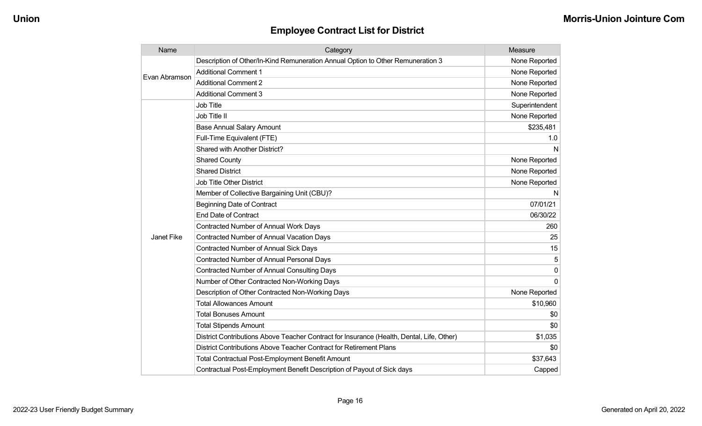| Name          | Category                                                                                  | Measure        |
|---------------|-------------------------------------------------------------------------------------------|----------------|
| Evan Abramson | Description of Other/In-Kind Remuneration Annual Option to Other Remuneration 3           | None Reported  |
|               | <b>Additional Comment 1</b>                                                               | None Reported  |
|               | <b>Additional Comment 2</b>                                                               | None Reported  |
|               | <b>Additional Comment 3</b>                                                               | None Reported  |
|               | Job Title                                                                                 | Superintendent |
|               | Job Title II                                                                              | None Reported  |
|               | <b>Base Annual Salary Amount</b>                                                          | \$235,481      |
|               | Full-Time Equivalent (FTE)                                                                | 1.0            |
|               | Shared with Another District?                                                             | N              |
|               | <b>Shared County</b>                                                                      | None Reported  |
|               | <b>Shared District</b>                                                                    | None Reported  |
|               | Job Title Other District                                                                  | None Reported  |
|               | Member of Collective Bargaining Unit (CBU)?                                               | N              |
|               | <b>Beginning Date of Contract</b>                                                         | 07/01/21       |
|               | <b>End Date of Contract</b>                                                               | 06/30/22       |
|               | <b>Contracted Number of Annual Work Days</b>                                              | 260            |
| Janet Fike    | <b>Contracted Number of Annual Vacation Days</b>                                          | 25             |
|               | <b>Contracted Number of Annual Sick Days</b>                                              | 15             |
|               | <b>Contracted Number of Annual Personal Days</b>                                          | 5              |
|               | <b>Contracted Number of Annual Consulting Days</b>                                        | 0              |
|               | Number of Other Contracted Non-Working Days                                               | $\Omega$       |
|               | Description of Other Contracted Non-Working Days                                          | None Reported  |
|               | <b>Total Allowances Amount</b>                                                            | \$10,960       |
|               | <b>Total Bonuses Amount</b>                                                               | \$0            |
|               | <b>Total Stipends Amount</b>                                                              | \$0            |
|               | District Contributions Above Teacher Contract for Insurance (Health, Dental, Life, Other) | \$1,035        |
|               | District Contributions Above Teacher Contract for Retirement Plans                        | \$0            |
|               | <b>Total Contractual Post-Employment Benefit Amount</b>                                   | \$37,643       |
|               | Contractual Post-Employment Benefit Description of Payout of Sick days                    | Capped         |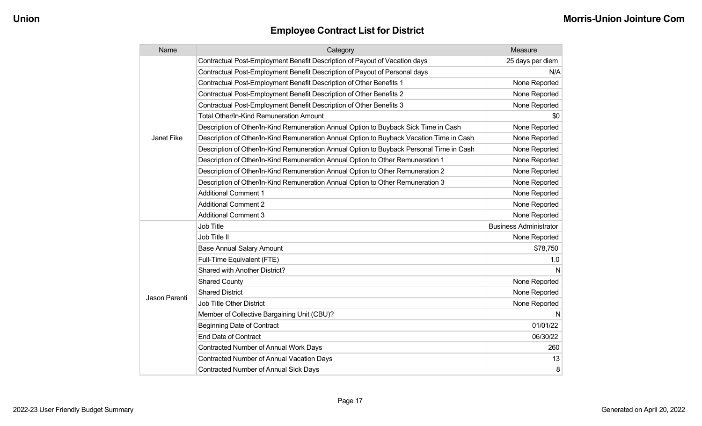| Name          | Category                                                                                 | Measure                       |
|---------------|------------------------------------------------------------------------------------------|-------------------------------|
|               | Contractual Post-Employment Benefit Description of Payout of Vacation days               | 25 days per diem              |
|               | Contractual Post-Employment Benefit Description of Payout of Personal days               | N/A                           |
|               | Contractual Post-Employment Benefit Description of Other Benefits 1                      | None Reported                 |
|               | Contractual Post-Employment Benefit Description of Other Benefits 2                      | None Reported                 |
|               | Contractual Post-Employment Benefit Description of Other Benefits 3                      | None Reported                 |
|               | <b>Total Other/In-Kind Remuneration Amount</b>                                           | \$0                           |
|               | Description of Other/In-Kind Remuneration Annual Option to Buyback Sick Time in Cash     | None Reported                 |
| Janet Fike    | Description of Other/In-Kind Remuneration Annual Option to Buyback Vacation Time in Cash | None Reported                 |
|               | Description of Other/In-Kind Remuneration Annual Option to Buyback Personal Time in Cash | None Reported                 |
|               | Description of Other/In-Kind Remuneration Annual Option to Other Remuneration 1          | None Reported                 |
|               | Description of Other/In-Kind Remuneration Annual Option to Other Remuneration 2          | None Reported                 |
|               | Description of Other/In-Kind Remuneration Annual Option to Other Remuneration 3          | None Reported                 |
|               | <b>Additional Comment 1</b>                                                              | None Reported                 |
|               | <b>Additional Comment 2</b>                                                              | None Reported                 |
|               | <b>Additional Comment 3</b>                                                              | None Reported                 |
|               | <b>Job Title</b>                                                                         | <b>Business Administrator</b> |
|               | Job Title II                                                                             | None Reported                 |
|               | <b>Base Annual Salary Amount</b>                                                         | \$78,750                      |
|               | Full-Time Equivalent (FTE)                                                               | 1.0                           |
|               | Shared with Another District?                                                            | N                             |
|               | <b>Shared County</b>                                                                     | None Reported                 |
| Jason Parenti | <b>Shared District</b>                                                                   | None Reported                 |
|               | <b>Job Title Other District</b>                                                          | None Reported                 |
|               | Member of Collective Bargaining Unit (CBU)?                                              | N                             |
|               | <b>Beginning Date of Contract</b>                                                        | 01/01/22                      |
|               | <b>End Date of Contract</b>                                                              | 06/30/22                      |
|               | Contracted Number of Annual Work Days                                                    | 260                           |
|               | <b>Contracted Number of Annual Vacation Days</b>                                         | 13                            |
|               | <b>Contracted Number of Annual Sick Days</b>                                             | 8                             |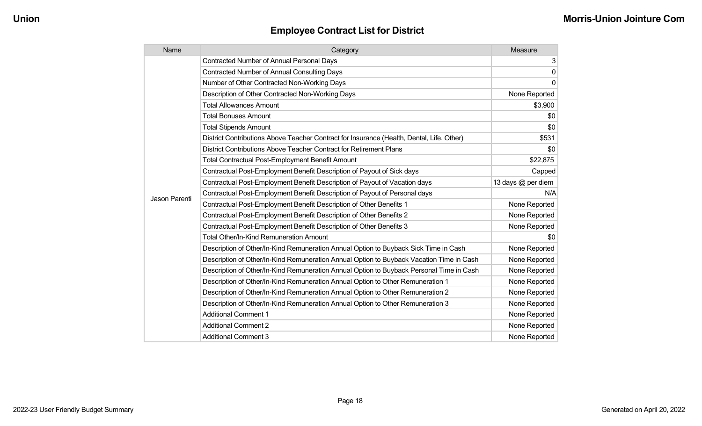| Name          | Category                                                                                  | Measure            |
|---------------|-------------------------------------------------------------------------------------------|--------------------|
|               | <b>Contracted Number of Annual Personal Days</b>                                          | 3                  |
|               | <b>Contracted Number of Annual Consulting Days</b>                                        | 0                  |
|               | Number of Other Contracted Non-Working Days                                               | $\Omega$           |
|               | Description of Other Contracted Non-Working Days                                          | None Reported      |
|               | <b>Total Allowances Amount</b>                                                            | \$3,900            |
|               | <b>Total Bonuses Amount</b>                                                               | \$0                |
|               | <b>Total Stipends Amount</b>                                                              | \$0                |
|               | District Contributions Above Teacher Contract for Insurance (Health, Dental, Life, Other) | \$531              |
|               | District Contributions Above Teacher Contract for Retirement Plans                        | \$0                |
|               | <b>Total Contractual Post-Employment Benefit Amount</b>                                   | \$22,875           |
|               | Contractual Post-Employment Benefit Description of Payout of Sick days                    | Capped             |
|               | Contractual Post-Employment Benefit Description of Payout of Vacation days                | 13 days @ per diem |
| Jason Parenti | Contractual Post-Employment Benefit Description of Payout of Personal days                | N/A                |
|               | Contractual Post-Employment Benefit Description of Other Benefits 1                       | None Reported      |
|               | Contractual Post-Employment Benefit Description of Other Benefits 2                       | None Reported      |
|               | Contractual Post-Employment Benefit Description of Other Benefits 3                       | None Reported      |
|               | <b>Total Other/In-Kind Remuneration Amount</b>                                            | \$0                |
|               | Description of Other/In-Kind Remuneration Annual Option to Buyback Sick Time in Cash      | None Reported      |
|               | Description of Other/In-Kind Remuneration Annual Option to Buyback Vacation Time in Cash  | None Reported      |
|               | Description of Other/In-Kind Remuneration Annual Option to Buyback Personal Time in Cash  | None Reported      |
|               | Description of Other/In-Kind Remuneration Annual Option to Other Remuneration 1           | None Reported      |
|               | Description of Other/In-Kind Remuneration Annual Option to Other Remuneration 2           | None Reported      |
|               | Description of Other/In-Kind Remuneration Annual Option to Other Remuneration 3           | None Reported      |
|               | <b>Additional Comment 1</b>                                                               | None Reported      |
|               | <b>Additional Comment 2</b>                                                               | None Reported      |
|               | <b>Additional Comment 3</b>                                                               | None Reported      |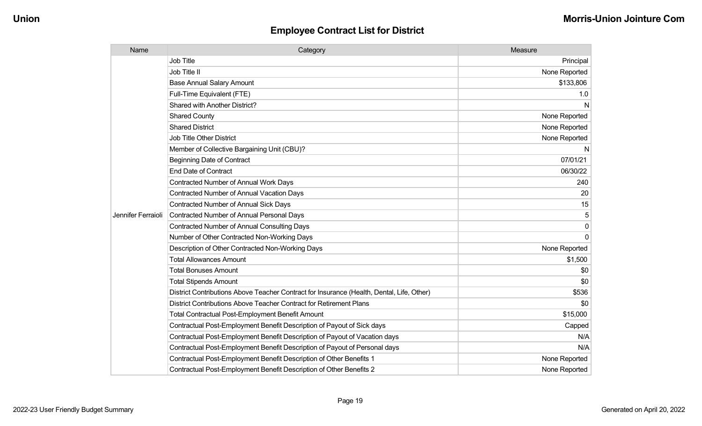| Name               | Category                                                                                  | Measure       |
|--------------------|-------------------------------------------------------------------------------------------|---------------|
|                    | <b>Job Title</b>                                                                          | Principal     |
|                    | Job Title II                                                                              | None Reported |
|                    | <b>Base Annual Salary Amount</b>                                                          | \$133,806     |
|                    | Full-Time Equivalent (FTE)                                                                | 1.0           |
|                    | Shared with Another District?                                                             | N             |
|                    | <b>Shared County</b>                                                                      | None Reported |
|                    | <b>Shared District</b>                                                                    | None Reported |
|                    | <b>Job Title Other District</b>                                                           | None Reported |
|                    | Member of Collective Bargaining Unit (CBU)?                                               | N             |
|                    | <b>Beginning Date of Contract</b>                                                         | 07/01/21      |
|                    | <b>End Date of Contract</b>                                                               | 06/30/22      |
|                    | <b>Contracted Number of Annual Work Days</b>                                              | 240           |
|                    | <b>Contracted Number of Annual Vacation Days</b>                                          | 20            |
|                    | Contracted Number of Annual Sick Days                                                     | 15            |
| Jennifer Ferraioli | <b>Contracted Number of Annual Personal Days</b>                                          | 5             |
|                    | <b>Contracted Number of Annual Consulting Days</b>                                        | $\mathbf{0}$  |
|                    | Number of Other Contracted Non-Working Days                                               | $\Omega$      |
|                    | Description of Other Contracted Non-Working Days                                          | None Reported |
|                    | <b>Total Allowances Amount</b>                                                            | \$1,500       |
|                    | <b>Total Bonuses Amount</b>                                                               | \$0           |
|                    | <b>Total Stipends Amount</b>                                                              | \$0           |
|                    | District Contributions Above Teacher Contract for Insurance (Health, Dental, Life, Other) | \$536         |
|                    | District Contributions Above Teacher Contract for Retirement Plans                        | \$0           |
|                    | <b>Total Contractual Post-Employment Benefit Amount</b>                                   | \$15,000      |
|                    | Contractual Post-Employment Benefit Description of Payout of Sick days                    | Capped        |
|                    | Contractual Post-Employment Benefit Description of Payout of Vacation days                | N/A           |
|                    | Contractual Post-Employment Benefit Description of Payout of Personal days                | N/A           |
|                    | Contractual Post-Employment Benefit Description of Other Benefits 1                       | None Reported |
|                    | Contractual Post-Employment Benefit Description of Other Benefits 2                       | None Reported |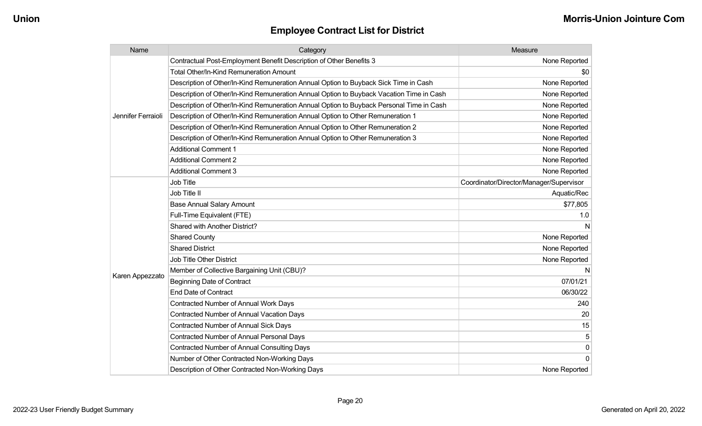| Name               | Category                                                                                 | Measure                                 |
|--------------------|------------------------------------------------------------------------------------------|-----------------------------------------|
|                    | Contractual Post-Employment Benefit Description of Other Benefits 3                      | None Reported                           |
|                    | Total Other/In-Kind Remuneration Amount                                                  | \$0                                     |
|                    | Description of Other/In-Kind Remuneration Annual Option to Buyback Sick Time in Cash     | None Reported                           |
|                    | Description of Other/In-Kind Remuneration Annual Option to Buyback Vacation Time in Cash | None Reported                           |
|                    | Description of Other/In-Kind Remuneration Annual Option to Buyback Personal Time in Cash | None Reported                           |
| Jennifer Ferraioli | Description of Other/In-Kind Remuneration Annual Option to Other Remuneration 1          | None Reported                           |
|                    | Description of Other/In-Kind Remuneration Annual Option to Other Remuneration 2          | None Reported                           |
|                    | Description of Other/In-Kind Remuneration Annual Option to Other Remuneration 3          | None Reported                           |
|                    | <b>Additional Comment 1</b>                                                              | None Reported                           |
|                    | <b>Additional Comment 2</b>                                                              | None Reported                           |
|                    | <b>Additional Comment 3</b>                                                              | None Reported                           |
|                    | Job Title                                                                                | Coordinator/Director/Manager/Supervisor |
|                    | Job Title II                                                                             | Aquatic/Rec                             |
|                    | <b>Base Annual Salary Amount</b>                                                         | \$77,805                                |
|                    | Full-Time Equivalent (FTE)                                                               | 1.0                                     |
|                    | Shared with Another District?                                                            | N                                       |
|                    | <b>Shared County</b>                                                                     | None Reported                           |
|                    | <b>Shared District</b>                                                                   | None Reported                           |
|                    | Job Title Other District                                                                 | None Reported                           |
|                    | Member of Collective Bargaining Unit (CBU)?                                              | N                                       |
| Karen Appezzato    | <b>Beginning Date of Contract</b>                                                        | 07/01/21                                |
|                    | <b>End Date of Contract</b>                                                              | 06/30/22                                |
|                    | <b>Contracted Number of Annual Work Days</b>                                             | 240                                     |
|                    | <b>Contracted Number of Annual Vacation Days</b>                                         | 20                                      |
|                    | <b>Contracted Number of Annual Sick Days</b>                                             | 15                                      |
|                    | Contracted Number of Annual Personal Days                                                | 5                                       |
|                    | <b>Contracted Number of Annual Consulting Days</b>                                       | $\pmb{0}$                               |
|                    | Number of Other Contracted Non-Working Days                                              | $\mathbf 0$                             |
|                    | Description of Other Contracted Non-Working Days                                         | None Reported                           |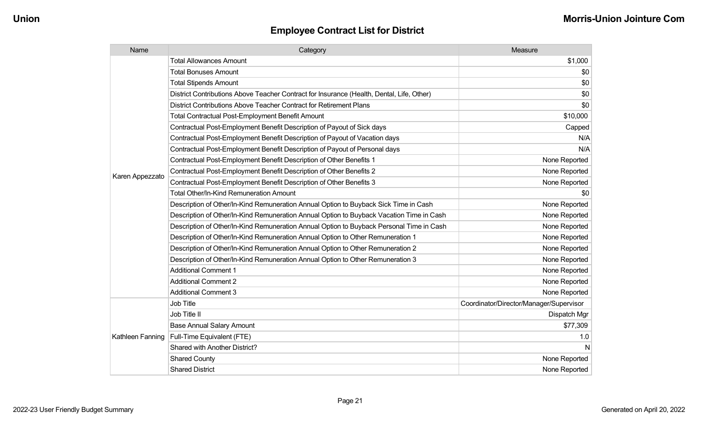| Name             | Category                                                                                  | Measure                                 |
|------------------|-------------------------------------------------------------------------------------------|-----------------------------------------|
|                  | <b>Total Allowances Amount</b>                                                            | \$1,000                                 |
|                  | <b>Total Bonuses Amount</b>                                                               | \$0                                     |
|                  | <b>Total Stipends Amount</b>                                                              | \$0                                     |
|                  | District Contributions Above Teacher Contract for Insurance (Health, Dental, Life, Other) | \$0                                     |
|                  | District Contributions Above Teacher Contract for Retirement Plans                        | \$0                                     |
|                  | <b>Total Contractual Post-Employment Benefit Amount</b>                                   | \$10,000                                |
|                  | Contractual Post-Employment Benefit Description of Payout of Sick days                    | Capped                                  |
|                  | Contractual Post-Employment Benefit Description of Payout of Vacation days                | N/A                                     |
|                  | Contractual Post-Employment Benefit Description of Payout of Personal days                | N/A                                     |
|                  | Contractual Post-Employment Benefit Description of Other Benefits 1                       | None Reported                           |
|                  | Contractual Post-Employment Benefit Description of Other Benefits 2                       | None Reported                           |
| Karen Appezzato  | Contractual Post-Employment Benefit Description of Other Benefits 3                       | None Reported                           |
|                  | Total Other/In-Kind Remuneration Amount                                                   | \$0                                     |
|                  | Description of Other/In-Kind Remuneration Annual Option to Buyback Sick Time in Cash      | None Reported                           |
|                  | Description of Other/In-Kind Remuneration Annual Option to Buyback Vacation Time in Cash  | None Reported                           |
|                  | Description of Other/In-Kind Remuneration Annual Option to Buyback Personal Time in Cash  | None Reported                           |
|                  | Description of Other/In-Kind Remuneration Annual Option to Other Remuneration 1           | None Reported                           |
|                  | Description of Other/In-Kind Remuneration Annual Option to Other Remuneration 2           | None Reported                           |
|                  | Description of Other/In-Kind Remuneration Annual Option to Other Remuneration 3           | None Reported                           |
|                  | <b>Additional Comment 1</b>                                                               | None Reported                           |
|                  | <b>Additional Comment 2</b>                                                               | None Reported                           |
|                  | <b>Additional Comment 3</b>                                                               | None Reported                           |
|                  | <b>Job Title</b>                                                                          | Coordinator/Director/Manager/Supervisor |
|                  | Job Title II                                                                              | Dispatch Mgr                            |
|                  | <b>Base Annual Salary Amount</b>                                                          | \$77,309                                |
| Kathleen Fanning | Full-Time Equivalent (FTE)                                                                | 1.0                                     |
|                  | Shared with Another District?                                                             | N                                       |
|                  | <b>Shared County</b>                                                                      | None Reported                           |
|                  | <b>Shared District</b>                                                                    | None Reported                           |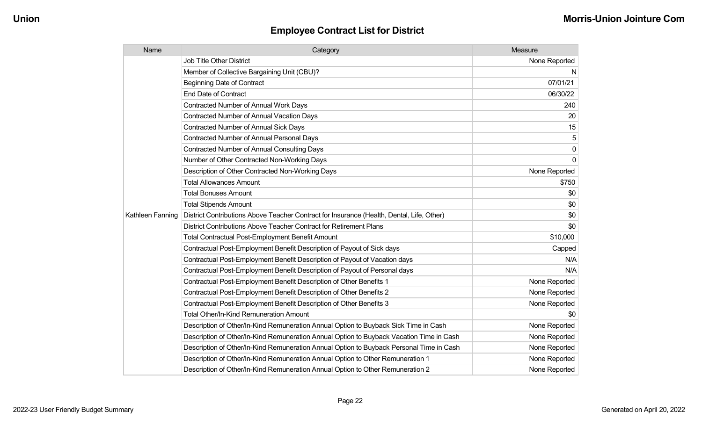| Name             | Category                                                                                  | Measure        |
|------------------|-------------------------------------------------------------------------------------------|----------------|
|                  | <b>Job Title Other District</b>                                                           | None Reported  |
|                  | Member of Collective Bargaining Unit (CBU)?                                               | N.             |
|                  | <b>Beginning Date of Contract</b>                                                         | 07/01/21       |
|                  | <b>End Date of Contract</b>                                                               | 06/30/22       |
|                  | Contracted Number of Annual Work Days                                                     | 240            |
|                  | <b>Contracted Number of Annual Vacation Days</b>                                          | 20             |
|                  | Contracted Number of Annual Sick Days                                                     | 15             |
|                  | Contracted Number of Annual Personal Days                                                 | 5              |
|                  | <b>Contracted Number of Annual Consulting Days</b>                                        | $\overline{0}$ |
|                  | Number of Other Contracted Non-Working Days                                               | $\overline{0}$ |
|                  | Description of Other Contracted Non-Working Days                                          | None Reported  |
|                  | <b>Total Allowances Amount</b>                                                            | \$750          |
|                  | <b>Total Bonuses Amount</b>                                                               | \$0            |
|                  | <b>Total Stipends Amount</b>                                                              | \$0            |
| Kathleen Fanning | District Contributions Above Teacher Contract for Insurance (Health, Dental, Life, Other) | \$0            |
|                  | District Contributions Above Teacher Contract for Retirement Plans                        | \$0            |
|                  | <b>Total Contractual Post-Employment Benefit Amount</b>                                   | \$10,000       |
|                  | Contractual Post-Employment Benefit Description of Payout of Sick days                    | Capped         |
|                  | Contractual Post-Employment Benefit Description of Payout of Vacation days                | N/A            |
|                  | Contractual Post-Employment Benefit Description of Payout of Personal days                | N/A            |
|                  | Contractual Post-Employment Benefit Description of Other Benefits 1                       | None Reported  |
|                  | Contractual Post-Employment Benefit Description of Other Benefits 2                       | None Reported  |
|                  | Contractual Post-Employment Benefit Description of Other Benefits 3                       | None Reported  |
|                  | <b>Total Other/In-Kind Remuneration Amount</b>                                            | \$0            |
|                  | Description of Other/In-Kind Remuneration Annual Option to Buyback Sick Time in Cash      | None Reported  |
|                  | Description of Other/In-Kind Remuneration Annual Option to Buyback Vacation Time in Cash  | None Reported  |
|                  | Description of Other/In-Kind Remuneration Annual Option to Buyback Personal Time in Cash  | None Reported  |
|                  | Description of Other/In-Kind Remuneration Annual Option to Other Remuneration 1           | None Reported  |
|                  | Description of Other/In-Kind Remuneration Annual Option to Other Remuneration 2           | None Reported  |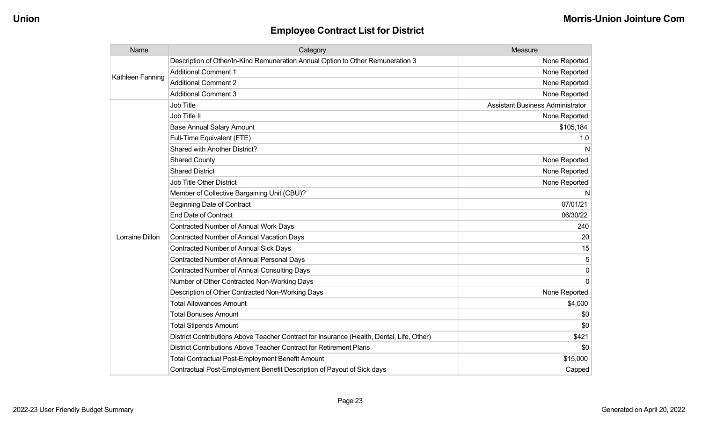| Name             | Category                                                                                  | Measure                                 |
|------------------|-------------------------------------------------------------------------------------------|-----------------------------------------|
|                  | Description of Other/In-Kind Remuneration Annual Option to Other Remuneration 3           | None Reported                           |
| Kathleen Fanning | <b>Additional Comment 1</b>                                                               | None Reported                           |
|                  | <b>Additional Comment 2</b>                                                               | None Reported                           |
|                  | <b>Additional Comment 3</b>                                                               | None Reported                           |
|                  | <b>Job Title</b>                                                                          | <b>Assistant Business Administrator</b> |
|                  | Job Title II                                                                              | None Reported                           |
|                  | <b>Base Annual Salary Amount</b>                                                          | \$105,184                               |
|                  | Full-Time Equivalent (FTE)                                                                | 1.0                                     |
|                  | Shared with Another District?                                                             | N                                       |
|                  | <b>Shared County</b>                                                                      | None Reported                           |
|                  | <b>Shared District</b>                                                                    | None Reported                           |
|                  | <b>Job Title Other District</b>                                                           | None Reported                           |
|                  | Member of Collective Bargaining Unit (CBU)?                                               | N                                       |
|                  | <b>Beginning Date of Contract</b>                                                         | 07/01/21                                |
|                  | <b>End Date of Contract</b>                                                               | 06/30/22                                |
|                  | Contracted Number of Annual Work Days                                                     | 240                                     |
| Lorraine Dillon  | <b>Contracted Number of Annual Vacation Days</b>                                          | 20                                      |
|                  | <b>Contracted Number of Annual Sick Days</b>                                              | 15                                      |
|                  | <b>Contracted Number of Annual Personal Days</b>                                          |                                         |
|                  | <b>Contracted Number of Annual Consulting Days</b>                                        | 0                                       |
|                  | Number of Other Contracted Non-Working Days                                               | $\Omega$                                |
|                  | Description of Other Contracted Non-Working Days                                          | None Reported                           |
|                  | <b>Total Allowances Amount</b>                                                            | \$4,000                                 |
|                  | <b>Total Bonuses Amount</b>                                                               | \$0                                     |
|                  | <b>Total Stipends Amount</b>                                                              | \$0                                     |
|                  | District Contributions Above Teacher Contract for Insurance (Health, Dental, Life, Other) | \$421                                   |
|                  | District Contributions Above Teacher Contract for Retirement Plans                        | \$0                                     |
|                  | <b>Total Contractual Post-Employment Benefit Amount</b>                                   | \$15,000                                |
|                  | Contractual Post-Employment Benefit Description of Payout of Sick days                    | Capped                                  |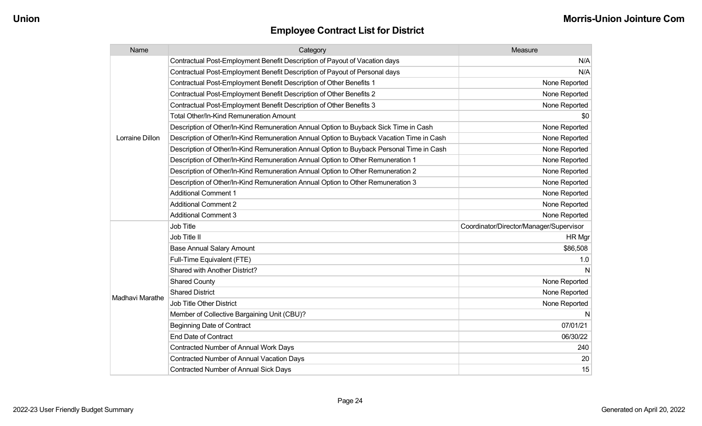| Name            | Category                                                                                 | Measure                                 |
|-----------------|------------------------------------------------------------------------------------------|-----------------------------------------|
|                 | Contractual Post-Employment Benefit Description of Payout of Vacation days               | N/A                                     |
|                 | Contractual Post-Employment Benefit Description of Payout of Personal days               | N/A                                     |
|                 | Contractual Post-Employment Benefit Description of Other Benefits 1                      | None Reported                           |
|                 | Contractual Post-Employment Benefit Description of Other Benefits 2                      | None Reported                           |
|                 | Contractual Post-Employment Benefit Description of Other Benefits 3                      | None Reported                           |
|                 | <b>Total Other/In-Kind Remuneration Amount</b>                                           | \$0                                     |
|                 | Description of Other/In-Kind Remuneration Annual Option to Buyback Sick Time in Cash     | None Reported                           |
| Lorraine Dillon | Description of Other/In-Kind Remuneration Annual Option to Buyback Vacation Time in Cash | None Reported                           |
|                 | Description of Other/In-Kind Remuneration Annual Option to Buyback Personal Time in Cash | None Reported                           |
|                 | Description of Other/In-Kind Remuneration Annual Option to Other Remuneration 1          | None Reported                           |
|                 | Description of Other/In-Kind Remuneration Annual Option to Other Remuneration 2          | None Reported                           |
|                 | Description of Other/In-Kind Remuneration Annual Option to Other Remuneration 3          | None Reported                           |
|                 | <b>Additional Comment 1</b>                                                              | None Reported                           |
|                 | <b>Additional Comment 2</b>                                                              | None Reported                           |
|                 | <b>Additional Comment 3</b>                                                              | None Reported                           |
|                 | <b>Job Title</b>                                                                         | Coordinator/Director/Manager/Supervisor |
|                 | Job Title II                                                                             | HR Mgr                                  |
|                 | <b>Base Annual Salary Amount</b>                                                         | \$86,508                                |
|                 | Full-Time Equivalent (FTE)                                                               | 1.0                                     |
|                 | Shared with Another District?                                                            | N                                       |
|                 | <b>Shared County</b>                                                                     | None Reported                           |
|                 | <b>Shared District</b>                                                                   | None Reported                           |
| Madhavi Marathe | <b>Job Title Other District</b>                                                          | None Reported                           |
|                 | Member of Collective Bargaining Unit (CBU)?                                              | N                                       |
|                 | <b>Beginning Date of Contract</b>                                                        | 07/01/21                                |
|                 | <b>End Date of Contract</b>                                                              | 06/30/22                                |
|                 | <b>Contracted Number of Annual Work Days</b>                                             | 240                                     |
|                 | <b>Contracted Number of Annual Vacation Days</b>                                         | 20                                      |
|                 | <b>Contracted Number of Annual Sick Days</b>                                             | 15                                      |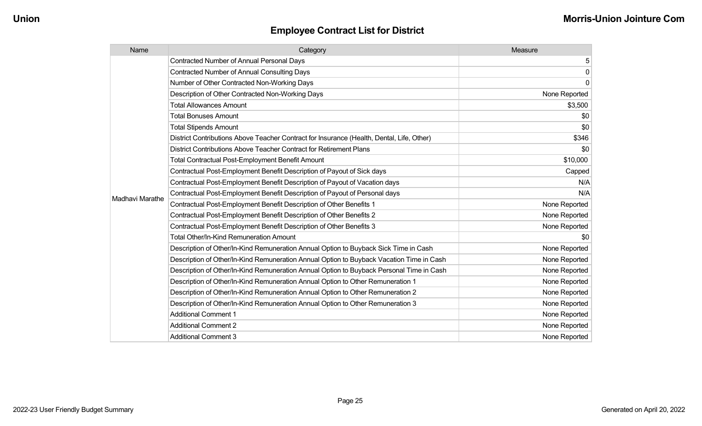| Name            | Category                                                                                  | Measure       |
|-----------------|-------------------------------------------------------------------------------------------|---------------|
|                 | <b>Contracted Number of Annual Personal Days</b>                                          | 5             |
|                 | <b>Contracted Number of Annual Consulting Days</b>                                        | $\pmb{0}$     |
|                 | Number of Other Contracted Non-Working Days                                               | $\mathbf 0$   |
|                 | Description of Other Contracted Non-Working Days                                          | None Reported |
|                 | <b>Total Allowances Amount</b>                                                            | \$3,500       |
|                 | <b>Total Bonuses Amount</b>                                                               | \$0           |
|                 | <b>Total Stipends Amount</b>                                                              | \$0           |
|                 | District Contributions Above Teacher Contract for Insurance (Health, Dental, Life, Other) | \$346         |
|                 | District Contributions Above Teacher Contract for Retirement Plans                        | \$0           |
|                 | <b>Total Contractual Post-Employment Benefit Amount</b>                                   | \$10,000      |
|                 | Contractual Post-Employment Benefit Description of Payout of Sick days                    | Capped        |
|                 | Contractual Post-Employment Benefit Description of Payout of Vacation days                | N/A           |
|                 | Contractual Post-Employment Benefit Description of Payout of Personal days                | N/A           |
| Madhavi Marathe | Contractual Post-Employment Benefit Description of Other Benefits 1                       | None Reported |
|                 | Contractual Post-Employment Benefit Description of Other Benefits 2                       | None Reported |
|                 | Contractual Post-Employment Benefit Description of Other Benefits 3                       | None Reported |
|                 | Total Other/In-Kind Remuneration Amount                                                   | \$0           |
|                 | Description of Other/In-Kind Remuneration Annual Option to Buyback Sick Time in Cash      | None Reported |
|                 | Description of Other/In-Kind Remuneration Annual Option to Buyback Vacation Time in Cash  | None Reported |
|                 | Description of Other/In-Kind Remuneration Annual Option to Buyback Personal Time in Cash  | None Reported |
|                 | Description of Other/In-Kind Remuneration Annual Option to Other Remuneration 1           | None Reported |
|                 | Description of Other/In-Kind Remuneration Annual Option to Other Remuneration 2           | None Reported |
|                 | Description of Other/In-Kind Remuneration Annual Option to Other Remuneration 3           | None Reported |
|                 | <b>Additional Comment 1</b>                                                               | None Reported |
|                 | <b>Additional Comment 2</b>                                                               | None Reported |
|                 | <b>Additional Comment 3</b>                                                               | None Reported |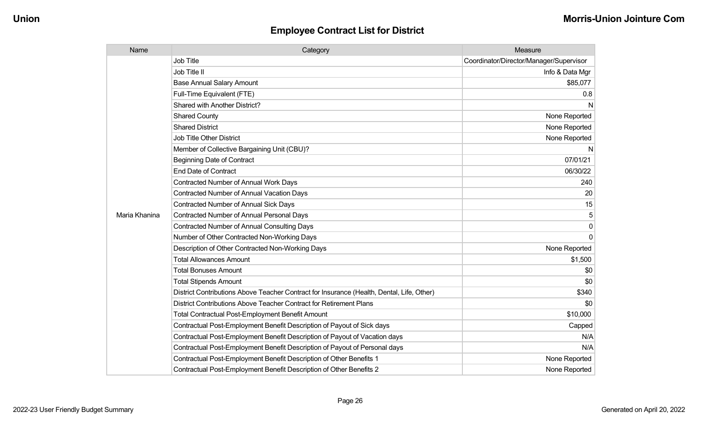| Name          | Category                                                                                  | Measure                                 |
|---------------|-------------------------------------------------------------------------------------------|-----------------------------------------|
|               | <b>Job Title</b>                                                                          | Coordinator/Director/Manager/Supervisor |
|               | Job Title II                                                                              | Info & Data Mgr                         |
|               | <b>Base Annual Salary Amount</b>                                                          | \$85,077                                |
|               | Full-Time Equivalent (FTE)                                                                | 0.8                                     |
|               | Shared with Another District?                                                             | N                                       |
|               | <b>Shared County</b>                                                                      | None Reported                           |
|               | <b>Shared District</b>                                                                    | None Reported                           |
|               | <b>Job Title Other District</b>                                                           | None Reported                           |
|               | Member of Collective Bargaining Unit (CBU)?                                               | N                                       |
|               | <b>Beginning Date of Contract</b>                                                         | 07/01/21                                |
|               | <b>End Date of Contract</b>                                                               | 06/30/22                                |
|               | Contracted Number of Annual Work Days                                                     | 240                                     |
|               | <b>Contracted Number of Annual Vacation Days</b>                                          | 20                                      |
|               | <b>Contracted Number of Annual Sick Days</b>                                              | 15                                      |
| Maria Khanina | <b>Contracted Number of Annual Personal Days</b>                                          |                                         |
|               | <b>Contracted Number of Annual Consulting Days</b>                                        | $\mathbf 0$                             |
|               | Number of Other Contracted Non-Working Days                                               | $\Omega$                                |
|               | Description of Other Contracted Non-Working Days                                          | None Reported                           |
|               | <b>Total Allowances Amount</b>                                                            | \$1,500                                 |
|               | <b>Total Bonuses Amount</b>                                                               | \$0                                     |
|               | <b>Total Stipends Amount</b>                                                              | \$0                                     |
|               | District Contributions Above Teacher Contract for Insurance (Health, Dental, Life, Other) | \$340                                   |
|               | District Contributions Above Teacher Contract for Retirement Plans                        | \$0                                     |
|               | <b>Total Contractual Post-Employment Benefit Amount</b>                                   | \$10,000                                |
|               | Contractual Post-Employment Benefit Description of Payout of Sick days                    | Capped                                  |
|               | Contractual Post-Employment Benefit Description of Payout of Vacation days                | N/A                                     |
|               | Contractual Post-Employment Benefit Description of Payout of Personal days                | N/A                                     |
|               | Contractual Post-Employment Benefit Description of Other Benefits 1                       | None Reported                           |
|               | Contractual Post-Employment Benefit Description of Other Benefits 2                       | None Reported                           |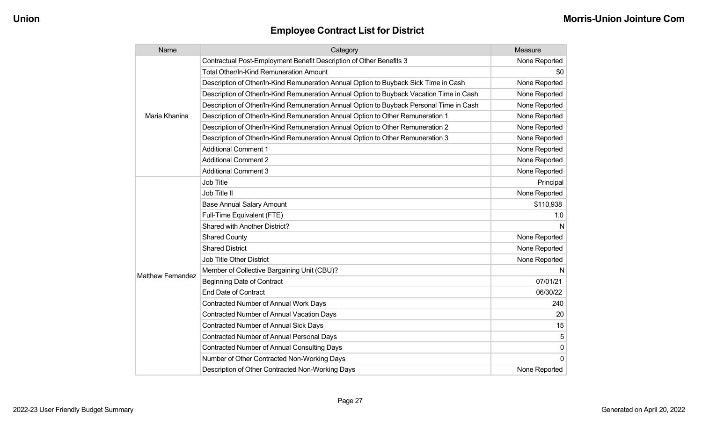| Name                     | Category                                                                                 | Measure       |
|--------------------------|------------------------------------------------------------------------------------------|---------------|
|                          | Contractual Post-Employment Benefit Description of Other Benefits 3                      | None Reported |
|                          | <b>Total Other/In-Kind Remuneration Amount</b>                                           | \$0           |
|                          | Description of Other/In-Kind Remuneration Annual Option to Buyback Sick Time in Cash     | None Reported |
|                          | Description of Other/In-Kind Remuneration Annual Option to Buyback Vacation Time in Cash | None Reported |
|                          | Description of Other/In-Kind Remuneration Annual Option to Buyback Personal Time in Cash | None Reported |
| Maria Khanina            | Description of Other/In-Kind Remuneration Annual Option to Other Remuneration 1          | None Reported |
|                          | Description of Other/In-Kind Remuneration Annual Option to Other Remuneration 2          | None Reported |
|                          | Description of Other/In-Kind Remuneration Annual Option to Other Remuneration 3          | None Reported |
|                          | <b>Additional Comment 1</b>                                                              | None Reported |
|                          | <b>Additional Comment 2</b>                                                              | None Reported |
|                          | <b>Additional Comment 3</b>                                                              | None Reported |
|                          | Job Title                                                                                | Principal     |
|                          | Job Title II                                                                             | None Reported |
|                          | <b>Base Annual Salary Amount</b>                                                         | \$110,938     |
|                          | Full-Time Equivalent (FTE)                                                               | 1.0           |
|                          | Shared with Another District?                                                            | N             |
|                          | <b>Shared County</b>                                                                     | None Reported |
|                          | <b>Shared District</b>                                                                   | None Reported |
|                          | <b>Job Title Other District</b>                                                          | None Reported |
|                          | Member of Collective Bargaining Unit (CBU)?                                              | N             |
| <b>Matthew Fernandez</b> | <b>Beginning Date of Contract</b>                                                        | 07/01/21      |
|                          | <b>End Date of Contract</b>                                                              | 06/30/22      |
|                          | Contracted Number of Annual Work Days                                                    | 240           |
|                          | <b>Contracted Number of Annual Vacation Days</b>                                         | 20            |
|                          | <b>Contracted Number of Annual Sick Days</b>                                             | 15            |
|                          | Contracted Number of Annual Personal Days                                                | 5             |
|                          | <b>Contracted Number of Annual Consulting Days</b>                                       | 0             |
|                          | Number of Other Contracted Non-Working Days                                              | $\Omega$      |
|                          | Description of Other Contracted Non-Working Days                                         | None Reported |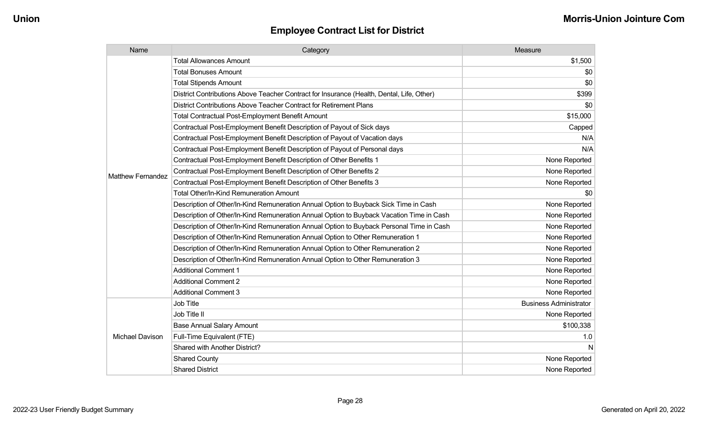| Name                     | Category                                                                                  | Measure                       |
|--------------------------|-------------------------------------------------------------------------------------------|-------------------------------|
|                          | <b>Total Allowances Amount</b>                                                            | \$1,500                       |
|                          | <b>Total Bonuses Amount</b>                                                               | \$0                           |
|                          | <b>Total Stipends Amount</b>                                                              | \$0                           |
|                          | District Contributions Above Teacher Contract for Insurance (Health, Dental, Life, Other) | \$399                         |
|                          | District Contributions Above Teacher Contract for Retirement Plans                        | \$0                           |
|                          | Total Contractual Post-Employment Benefit Amount                                          | \$15,000                      |
|                          | Contractual Post-Employment Benefit Description of Payout of Sick days                    | Capped                        |
|                          | Contractual Post-Employment Benefit Description of Payout of Vacation days                | N/A                           |
|                          | Contractual Post-Employment Benefit Description of Payout of Personal days                | N/A                           |
|                          | Contractual Post-Employment Benefit Description of Other Benefits 1                       | None Reported                 |
| <b>Matthew Fernandez</b> | Contractual Post-Employment Benefit Description of Other Benefits 2                       | None Reported                 |
|                          | Contractual Post-Employment Benefit Description of Other Benefits 3                       | None Reported                 |
|                          | Total Other/In-Kind Remuneration Amount                                                   | \$0                           |
|                          | Description of Other/In-Kind Remuneration Annual Option to Buyback Sick Time in Cash      | None Reported                 |
|                          | Description of Other/In-Kind Remuneration Annual Option to Buyback Vacation Time in Cash  | None Reported                 |
|                          | Description of Other/In-Kind Remuneration Annual Option to Buyback Personal Time in Cash  | None Reported                 |
|                          | Description of Other/In-Kind Remuneration Annual Option to Other Remuneration 1           | None Reported                 |
|                          | Description of Other/In-Kind Remuneration Annual Option to Other Remuneration 2           | None Reported                 |
|                          | Description of Other/In-Kind Remuneration Annual Option to Other Remuneration 3           | None Reported                 |
|                          | <b>Additional Comment 1</b>                                                               | None Reported                 |
|                          | <b>Additional Comment 2</b>                                                               | None Reported                 |
|                          | <b>Additional Comment 3</b>                                                               | None Reported                 |
|                          | Job Title                                                                                 | <b>Business Administrator</b> |
| Michael Davison          | Job Title II                                                                              | None Reported                 |
|                          | <b>Base Annual Salary Amount</b>                                                          | \$100,338                     |
|                          | Full-Time Equivalent (FTE)                                                                | 1.0                           |
|                          | Shared with Another District?                                                             | N                             |
|                          | <b>Shared County</b>                                                                      | None Reported                 |
|                          | <b>Shared District</b>                                                                    | None Reported                 |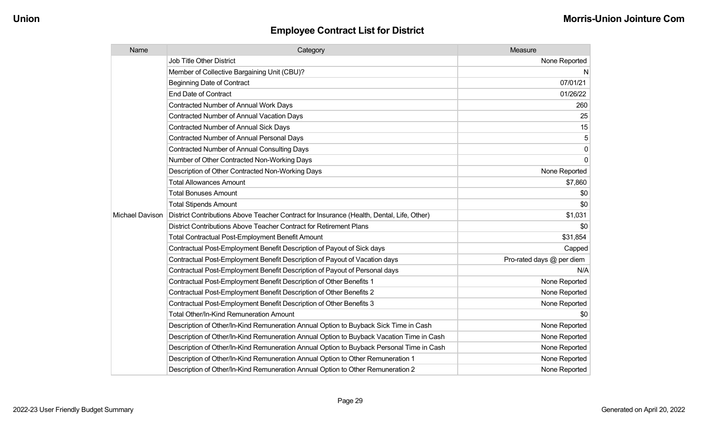| Name            | Category                                                                                  | Measure                   |
|-----------------|-------------------------------------------------------------------------------------------|---------------------------|
|                 | <b>Job Title Other District</b>                                                           | None Reported             |
|                 | Member of Collective Bargaining Unit (CBU)?                                               | N                         |
|                 | <b>Beginning Date of Contract</b>                                                         | 07/01/21                  |
|                 | <b>End Date of Contract</b>                                                               | 01/26/22                  |
|                 | Contracted Number of Annual Work Days                                                     | 260                       |
|                 | <b>Contracted Number of Annual Vacation Days</b>                                          | 25                        |
|                 | <b>Contracted Number of Annual Sick Days</b>                                              | 15                        |
|                 | Contracted Number of Annual Personal Days                                                 | 5                         |
|                 | Contracted Number of Annual Consulting Days                                               | $\pmb{0}$                 |
|                 | Number of Other Contracted Non-Working Days                                               | 0                         |
|                 | Description of Other Contracted Non-Working Days                                          | None Reported             |
|                 | <b>Total Allowances Amount</b>                                                            | \$7,860                   |
|                 | <b>Total Bonuses Amount</b>                                                               | \$0                       |
|                 | <b>Total Stipends Amount</b>                                                              | \$0                       |
| Michael Davison | District Contributions Above Teacher Contract for Insurance (Health, Dental, Life, Other) | \$1,031                   |
|                 | District Contributions Above Teacher Contract for Retirement Plans                        | \$0                       |
|                 | <b>Total Contractual Post-Employment Benefit Amount</b>                                   | \$31,854                  |
|                 | Contractual Post-Employment Benefit Description of Payout of Sick days                    | Capped                    |
|                 | Contractual Post-Employment Benefit Description of Payout of Vacation days                | Pro-rated days @ per diem |
|                 | Contractual Post-Employment Benefit Description of Payout of Personal days                | N/A                       |
|                 | Contractual Post-Employment Benefit Description of Other Benefits 1                       | None Reported             |
|                 | Contractual Post-Employment Benefit Description of Other Benefits 2                       | None Reported             |
|                 | Contractual Post-Employment Benefit Description of Other Benefits 3                       | None Reported             |
|                 | <b>Total Other/In-Kind Remuneration Amount</b>                                            | \$0                       |
|                 | Description of Other/In-Kind Remuneration Annual Option to Buyback Sick Time in Cash      | None Reported             |
|                 | Description of Other/In-Kind Remuneration Annual Option to Buyback Vacation Time in Cash  | None Reported             |
|                 | Description of Other/In-Kind Remuneration Annual Option to Buyback Personal Time in Cash  | None Reported             |
|                 | Description of Other/In-Kind Remuneration Annual Option to Other Remuneration 1           | None Reported             |
|                 | Description of Other/In-Kind Remuneration Annual Option to Other Remuneration 2           | None Reported             |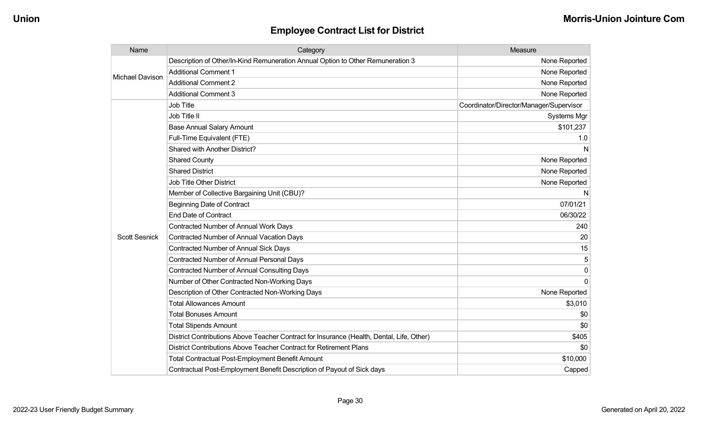| Name                 | Category                                                                                  | Measure                                 |
|----------------------|-------------------------------------------------------------------------------------------|-----------------------------------------|
| Michael Davison      | Description of Other/In-Kind Remuneration Annual Option to Other Remuneration 3           | None Reported                           |
|                      | <b>Additional Comment 1</b>                                                               | None Reported                           |
|                      | <b>Additional Comment 2</b>                                                               | None Reported                           |
|                      | <b>Additional Comment 3</b>                                                               | None Reported                           |
|                      | <b>Job Title</b>                                                                          | Coordinator/Director/Manager/Supervisor |
|                      | Job Title II                                                                              | Systems Mgr                             |
|                      | <b>Base Annual Salary Amount</b>                                                          | \$101,237                               |
|                      | Full-Time Equivalent (FTE)                                                                | 1.0                                     |
|                      | Shared with Another District?                                                             | N                                       |
|                      | <b>Shared County</b>                                                                      | None Reported                           |
|                      | <b>Shared District</b>                                                                    | None Reported                           |
|                      | <b>Job Title Other District</b>                                                           | None Reported                           |
|                      | Member of Collective Bargaining Unit (CBU)?                                               | N                                       |
|                      | <b>Beginning Date of Contract</b>                                                         | 07/01/21                                |
|                      | <b>End Date of Contract</b>                                                               | 06/30/22                                |
|                      | Contracted Number of Annual Work Days                                                     | 240                                     |
| <b>Scott Sesnick</b> | <b>Contracted Number of Annual Vacation Days</b>                                          | 20                                      |
|                      | Contracted Number of Annual Sick Days                                                     | 15                                      |
|                      | Contracted Number of Annual Personal Days                                                 | 5                                       |
|                      | <b>Contracted Number of Annual Consulting Days</b>                                        | 0                                       |
|                      | Number of Other Contracted Non-Working Days                                               | $\Omega$                                |
|                      | Description of Other Contracted Non-Working Days                                          | None Reported                           |
|                      | <b>Total Allowances Amount</b>                                                            | \$3,010                                 |
|                      | <b>Total Bonuses Amount</b>                                                               | \$0                                     |
|                      | <b>Total Stipends Amount</b>                                                              | \$0                                     |
|                      | District Contributions Above Teacher Contract for Insurance (Health, Dental, Life, Other) | \$405                                   |
|                      | District Contributions Above Teacher Contract for Retirement Plans                        | \$0                                     |
|                      | <b>Total Contractual Post-Employment Benefit Amount</b>                                   | \$10,000                                |
|                      | Contractual Post-Employment Benefit Description of Payout of Sick days                    | Capped                                  |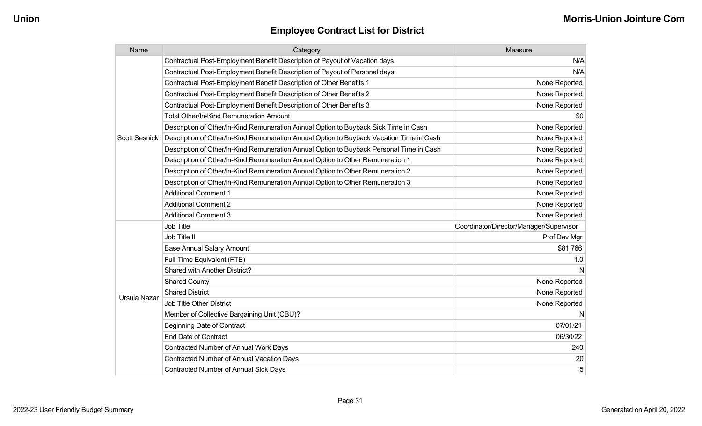| Name                 | Category                                                                                 | Measure                                 |
|----------------------|------------------------------------------------------------------------------------------|-----------------------------------------|
|                      | Contractual Post-Employment Benefit Description of Payout of Vacation days               | N/A                                     |
|                      | Contractual Post-Employment Benefit Description of Payout of Personal days               | N/A                                     |
|                      | Contractual Post-Employment Benefit Description of Other Benefits 1                      | None Reported                           |
|                      | Contractual Post-Employment Benefit Description of Other Benefits 2                      | None Reported                           |
|                      | Contractual Post-Employment Benefit Description of Other Benefits 3                      | None Reported                           |
|                      | <b>Total Other/In-Kind Remuneration Amount</b>                                           | \$0                                     |
|                      | Description of Other/In-Kind Remuneration Annual Option to Buyback Sick Time in Cash     | None Reported                           |
| <b>Scott Sesnick</b> | Description of Other/In-Kind Remuneration Annual Option to Buyback Vacation Time in Cash | None Reported                           |
|                      | Description of Other/In-Kind Remuneration Annual Option to Buyback Personal Time in Cash | None Reported                           |
|                      | Description of Other/In-Kind Remuneration Annual Option to Other Remuneration 1          | None Reported                           |
|                      | Description of Other/In-Kind Remuneration Annual Option to Other Remuneration 2          | None Reported                           |
|                      | Description of Other/In-Kind Remuneration Annual Option to Other Remuneration 3          | None Reported                           |
|                      | <b>Additional Comment 1</b>                                                              | None Reported                           |
|                      | <b>Additional Comment 2</b>                                                              | None Reported                           |
|                      | <b>Additional Comment 3</b>                                                              | None Reported                           |
|                      | Job Title                                                                                | Coordinator/Director/Manager/Supervisor |
|                      | Job Title II                                                                             | Prof Dev Mgr                            |
|                      | <b>Base Annual Salary Amount</b>                                                         | \$81,766                                |
|                      | Full-Time Equivalent (FTE)                                                               | 1.0                                     |
|                      | Shared with Another District?                                                            | N                                       |
|                      | <b>Shared County</b>                                                                     | None Reported                           |
| Ursula Nazar         | <b>Shared District</b>                                                                   | None Reported                           |
|                      | <b>Job Title Other District</b>                                                          | None Reported                           |
|                      | Member of Collective Bargaining Unit (CBU)?                                              | N                                       |
|                      | <b>Beginning Date of Contract</b>                                                        | 07/01/21                                |
|                      | <b>End Date of Contract</b>                                                              | 06/30/22                                |
|                      | <b>Contracted Number of Annual Work Days</b>                                             | 240                                     |
|                      | <b>Contracted Number of Annual Vacation Days</b>                                         | 20                                      |
|                      | <b>Contracted Number of Annual Sick Days</b>                                             | 15                                      |